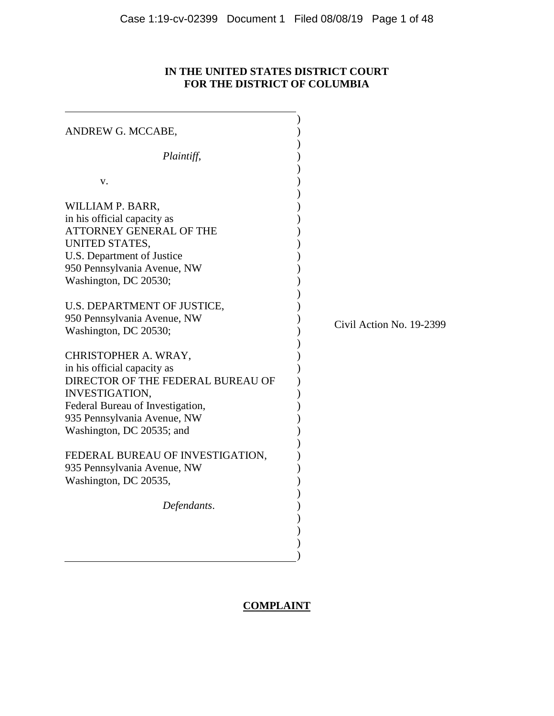# **IN THE UNITED STATES DISTRICT COURT FOR THE DISTRICT OF COLUMBIA**

| ANDREW G. MCCABE,                 |                          |
|-----------------------------------|--------------------------|
|                                   |                          |
| Plaintiff,                        |                          |
|                                   |                          |
| V.                                |                          |
| WILLIAM P. BARR,                  |                          |
| in his official capacity as       |                          |
| <b>ATTORNEY GENERAL OF THE</b>    |                          |
| UNITED STATES,                    |                          |
| U.S. Department of Justice        |                          |
| 950 Pennsylvania Avenue, NW       |                          |
| Washington, DC 20530;             |                          |
|                                   |                          |
| U.S. DEPARTMENT OF JUSTICE,       |                          |
| 950 Pennsylvania Avenue, NW       | Civil Action No. 19-2399 |
| Washington, DC 20530;             |                          |
| CHRISTOPHER A. WRAY,              |                          |
| in his official capacity as       |                          |
| DIRECTOR OF THE FEDERAL BUREAU OF |                          |
| <b>INVESTIGATION,</b>             |                          |
| Federal Bureau of Investigation,  |                          |
| 935 Pennsylvania Avenue, NW       |                          |
| Washington, DC 20535; and         |                          |
|                                   |                          |
| FEDERAL BUREAU OF INVESTIGATION,  |                          |
| 935 Pennsylvania Avenue, NW       |                          |
| Washington, DC 20535,             |                          |
|                                   |                          |
| Defendants.                       |                          |
|                                   |                          |
|                                   |                          |
|                                   |                          |
|                                   |                          |

# **COMPLAINT**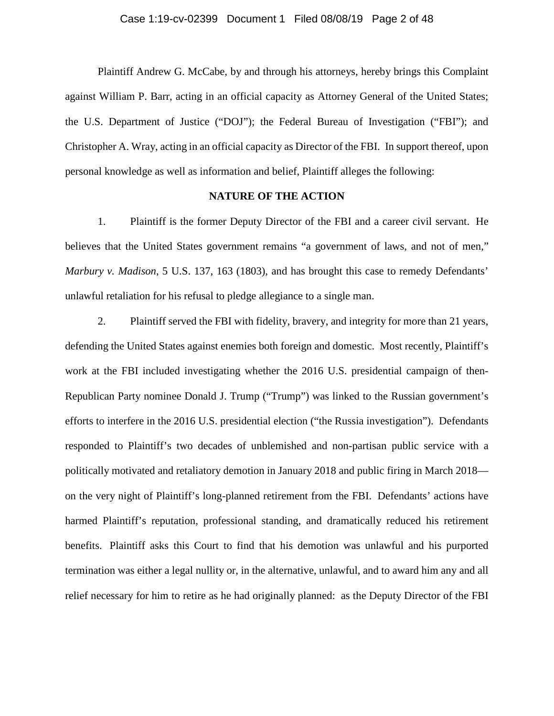Plaintiff Andrew G. McCabe, by and through his attorneys, hereby brings this Complaint against William P. Barr, acting in an official capacity as Attorney General of the United States; the U.S. Department of Justice ("DOJ"); the Federal Bureau of Investigation ("FBI"); and Christopher A. Wray, acting in an official capacity as Director of the FBI. In support thereof, upon personal knowledge as well as information and belief, Plaintiff alleges the following:

## **NATURE OF THE ACTION**

1. Plaintiff is the former Deputy Director of the FBI and a career civil servant. He believes that the United States government remains "a government of laws, and not of men," *Marbury v. Madison*, 5 U.S. 137, 163 (1803), and has brought this case to remedy Defendants' unlawful retaliation for his refusal to pledge allegiance to a single man.

2. Plaintiff served the FBI with fidelity, bravery, and integrity for more than 21 years, defending the United States against enemies both foreign and domestic. Most recently, Plaintiff's work at the FBI included investigating whether the 2016 U.S. presidential campaign of then-Republican Party nominee Donald J. Trump ("Trump") was linked to the Russian government's efforts to interfere in the 2016 U.S. presidential election ("the Russia investigation"). Defendants responded to Plaintiff's two decades of unblemished and non-partisan public service with a politically motivated and retaliatory demotion in January 2018 and public firing in March 2018 on the very night of Plaintiff's long-planned retirement from the FBI. Defendants' actions have harmed Plaintiff's reputation, professional standing, and dramatically reduced his retirement benefits. Plaintiff asks this Court to find that his demotion was unlawful and his purported termination was either a legal nullity or, in the alternative, unlawful, and to award him any and all relief necessary for him to retire as he had originally planned: as the Deputy Director of the FBI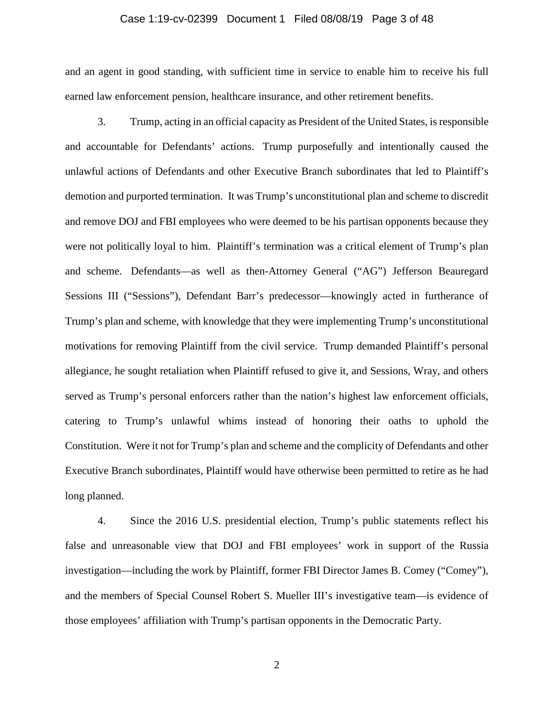## Case 1:19-cv-02399 Document 1 Filed 08/08/19 Page 3 of 48

and an agent in good standing, with sufficient time in service to enable him to receive his full earned law enforcement pension, healthcare insurance, and other retirement benefits.

3. Trump, acting in an official capacity as President of the United States, is responsible and accountable for Defendants' actions. Trump purposefully and intentionally caused the unlawful actions of Defendants and other Executive Branch subordinates that led to Plaintiff's demotion and purported termination. It was Trump's unconstitutional plan and scheme to discredit and remove DOJ and FBI employees who were deemed to be his partisan opponents because they were not politically loyal to him. Plaintiff's termination was a critical element of Trump's plan and scheme. Defendants—as well as then-Attorney General ("AG") Jefferson Beauregard Sessions III ("Sessions"), Defendant Barr's predecessor—knowingly acted in furtherance of Trump's plan and scheme, with knowledge that they were implementing Trump's unconstitutional motivations for removing Plaintiff from the civil service. Trump demanded Plaintiff's personal allegiance, he sought retaliation when Plaintiff refused to give it, and Sessions, Wray, and others served as Trump's personal enforcers rather than the nation's highest law enforcement officials, catering to Trump's unlawful whims instead of honoring their oaths to uphold the Constitution. Were it not for Trump's plan and scheme and the complicity of Defendants and other Executive Branch subordinates, Plaintiff would have otherwise been permitted to retire as he had long planned.

4. Since the 2016 U.S. presidential election, Trump's public statements reflect his false and unreasonable view that DOJ and FBI employees' work in support of the Russia investigation—including the work by Plaintiff, former FBI Director James B. Comey ("Comey"), and the members of Special Counsel Robert S. Mueller III's investigative team—is evidence of those employees' affiliation with Trump's partisan opponents in the Democratic Party.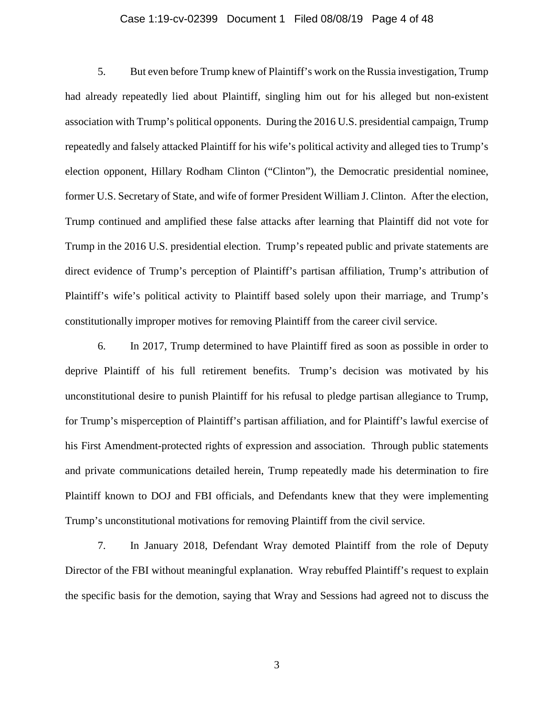## Case 1:19-cv-02399 Document 1 Filed 08/08/19 Page 4 of 48

5. But even before Trump knew of Plaintiff's work on the Russia investigation, Trump had already repeatedly lied about Plaintiff, singling him out for his alleged but non-existent association with Trump's political opponents. During the 2016 U.S. presidential campaign, Trump repeatedly and falsely attacked Plaintiff for his wife's political activity and alleged ties to Trump's election opponent, Hillary Rodham Clinton ("Clinton"), the Democratic presidential nominee, former U.S. Secretary of State, and wife of former President William J. Clinton. After the election, Trump continued and amplified these false attacks after learning that Plaintiff did not vote for Trump in the 2016 U.S. presidential election. Trump's repeated public and private statements are direct evidence of Trump's perception of Plaintiff's partisan affiliation, Trump's attribution of Plaintiff's wife's political activity to Plaintiff based solely upon their marriage, and Trump's constitutionally improper motives for removing Plaintiff from the career civil service.

6. In 2017, Trump determined to have Plaintiff fired as soon as possible in order to deprive Plaintiff of his full retirement benefits. Trump's decision was motivated by his unconstitutional desire to punish Plaintiff for his refusal to pledge partisan allegiance to Trump, for Trump's misperception of Plaintiff's partisan affiliation, and for Plaintiff's lawful exercise of his First Amendment-protected rights of expression and association. Through public statements and private communications detailed herein, Trump repeatedly made his determination to fire Plaintiff known to DOJ and FBI officials, and Defendants knew that they were implementing Trump's unconstitutional motivations for removing Plaintiff from the civil service.

7. In January 2018, Defendant Wray demoted Plaintiff from the role of Deputy Director of the FBI without meaningful explanation. Wray rebuffed Plaintiff's request to explain the specific basis for the demotion, saying that Wray and Sessions had agreed not to discuss the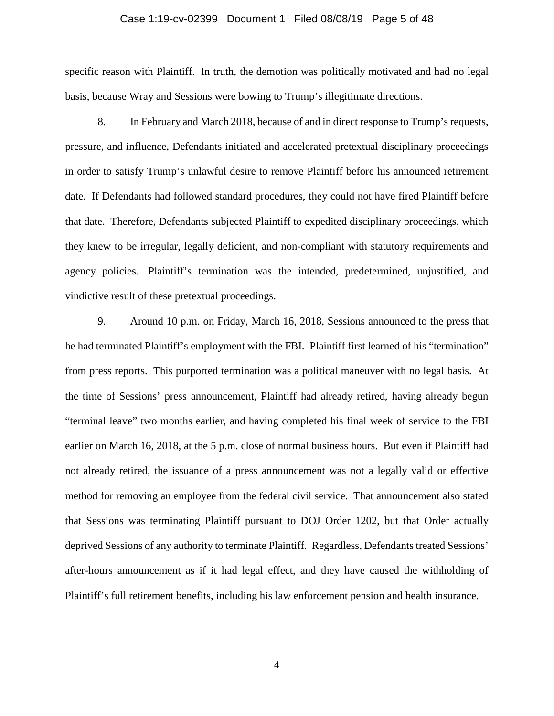## Case 1:19-cv-02399 Document 1 Filed 08/08/19 Page 5 of 48

specific reason with Plaintiff. In truth, the demotion was politically motivated and had no legal basis, because Wray and Sessions were bowing to Trump's illegitimate directions.

8. In February and March 2018, because of and in direct response to Trump's requests, pressure, and influence, Defendants initiated and accelerated pretextual disciplinary proceedings in order to satisfy Trump's unlawful desire to remove Plaintiff before his announced retirement date. If Defendants had followed standard procedures, they could not have fired Plaintiff before that date. Therefore, Defendants subjected Plaintiff to expedited disciplinary proceedings, which they knew to be irregular, legally deficient, and non-compliant with statutory requirements and agency policies. Plaintiff's termination was the intended, predetermined, unjustified, and vindictive result of these pretextual proceedings.

9. Around 10 p.m. on Friday, March 16, 2018, Sessions announced to the press that he had terminated Plaintiff's employment with the FBI. Plaintiff first learned of his "termination" from press reports. This purported termination was a political maneuver with no legal basis. At the time of Sessions' press announcement, Plaintiff had already retired, having already begun "terminal leave" two months earlier, and having completed his final week of service to the FBI earlier on March 16, 2018, at the 5 p.m. close of normal business hours. But even if Plaintiff had not already retired, the issuance of a press announcement was not a legally valid or effective method for removing an employee from the federal civil service. That announcement also stated that Sessions was terminating Plaintiff pursuant to DOJ Order 1202, but that Order actually deprived Sessions of any authority to terminate Plaintiff. Regardless, Defendants treated Sessions' after-hours announcement as if it had legal effect, and they have caused the withholding of Plaintiff's full retirement benefits, including his law enforcement pension and health insurance.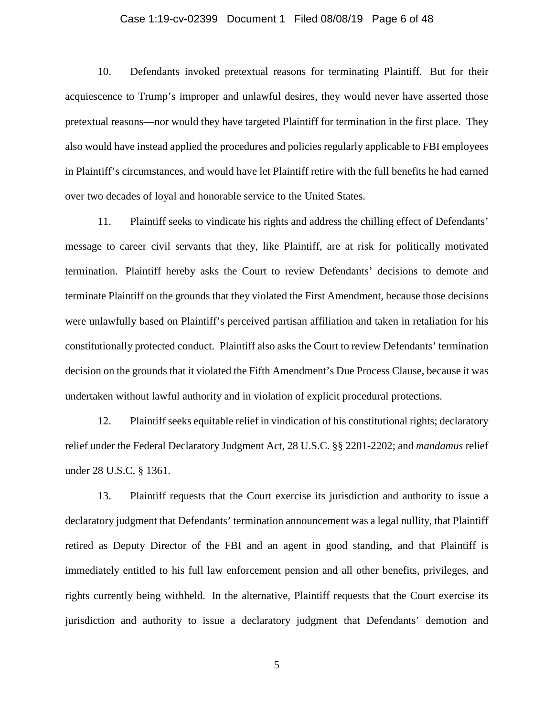## Case 1:19-cv-02399 Document 1 Filed 08/08/19 Page 6 of 48

10. Defendants invoked pretextual reasons for terminating Plaintiff. But for their acquiescence to Trump's improper and unlawful desires, they would never have asserted those pretextual reasons—nor would they have targeted Plaintiff for termination in the first place. They also would have instead applied the procedures and policies regularly applicable to FBI employees in Plaintiff's circumstances, and would have let Plaintiff retire with the full benefits he had earned over two decades of loyal and honorable service to the United States.

11. Plaintiff seeks to vindicate his rights and address the chilling effect of Defendants' message to career civil servants that they, like Plaintiff, are at risk for politically motivated termination. Plaintiff hereby asks the Court to review Defendants' decisions to demote and terminate Plaintiff on the grounds that they violated the First Amendment, because those decisions were unlawfully based on Plaintiff's perceived partisan affiliation and taken in retaliation for his constitutionally protected conduct. Plaintiff also asks the Court to review Defendants' termination decision on the grounds that it violated the Fifth Amendment's Due Process Clause, because it was undertaken without lawful authority and in violation of explicit procedural protections.

12. Plaintiff seeks equitable relief in vindication of his constitutional rights; declaratory relief under the Federal Declaratory Judgment Act, 28 U.S.C. §§ 2201-2202; and *mandamus* relief under 28 U.S.C. § 1361.

13. Plaintiff requests that the Court exercise its jurisdiction and authority to issue a declaratory judgment that Defendants' termination announcement was a legal nullity, that Plaintiff retired as Deputy Director of the FBI and an agent in good standing, and that Plaintiff is immediately entitled to his full law enforcement pension and all other benefits, privileges, and rights currently being withheld. In the alternative, Plaintiff requests that the Court exercise its jurisdiction and authority to issue a declaratory judgment that Defendants' demotion and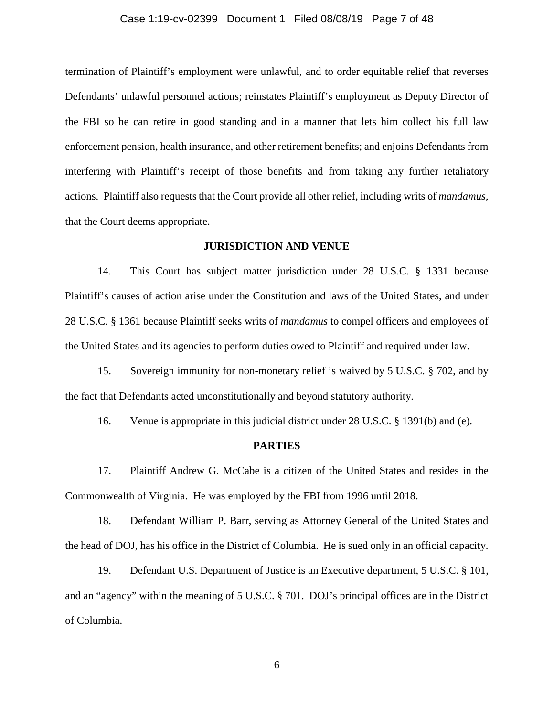## Case 1:19-cv-02399 Document 1 Filed 08/08/19 Page 7 of 48

termination of Plaintiff's employment were unlawful, and to order equitable relief that reverses Defendants' unlawful personnel actions; reinstates Plaintiff's employment as Deputy Director of the FBI so he can retire in good standing and in a manner that lets him collect his full law enforcement pension, health insurance, and other retirement benefits; and enjoins Defendants from interfering with Plaintiff's receipt of those benefits and from taking any further retaliatory actions. Plaintiff also requests that the Court provide all other relief, including writs of *mandamus*, that the Court deems appropriate.

## **JURISDICTION AND VENUE**

14. This Court has subject matter jurisdiction under 28 U.S.C. § 1331 because Plaintiff's causes of action arise under the Constitution and laws of the United States, and under 28 U.S.C. § 1361 because Plaintiff seeks writs of *mandamus* to compel officers and employees of the United States and its agencies to perform duties owed to Plaintiff and required under law.

15. Sovereign immunity for non-monetary relief is waived by 5 U.S.C. § 702, and by the fact that Defendants acted unconstitutionally and beyond statutory authority.

16. Venue is appropriate in this judicial district under 28 U.S.C. § 1391(b) and (e).

#### **PARTIES**

17. Plaintiff Andrew G. McCabe is a citizen of the United States and resides in the Commonwealth of Virginia. He was employed by the FBI from 1996 until 2018.

18. Defendant William P. Barr, serving as Attorney General of the United States and the head of DOJ, has his office in the District of Columbia. He is sued only in an official capacity.

19. Defendant U.S. Department of Justice is an Executive department, 5 U.S.C. § 101, and an "agency" within the meaning of 5 U.S.C. § 701. DOJ's principal offices are in the District of Columbia.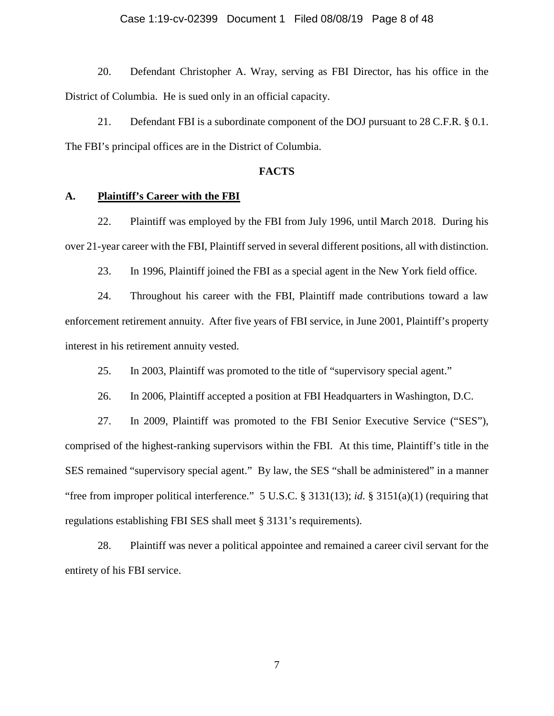## Case 1:19-cv-02399 Document 1 Filed 08/08/19 Page 8 of 48

20. Defendant Christopher A. Wray, serving as FBI Director, has his office in the District of Columbia. He is sued only in an official capacity.

21. Defendant FBI is a subordinate component of the DOJ pursuant to 28 C.F.R. § 0.1. The FBI's principal offices are in the District of Columbia.

## **FACTS**

## **A. Plaintiff's Career with the FBI**

22. Plaintiff was employed by the FBI from July 1996, until March 2018. During his over 21-year career with the FBI, Plaintiff served in several different positions, all with distinction.

23. In 1996, Plaintiff joined the FBI as a special agent in the New York field office.

24. Throughout his career with the FBI, Plaintiff made contributions toward a law enforcement retirement annuity. After five years of FBI service, in June 2001, Plaintiff's property interest in his retirement annuity vested.

25. In 2003, Plaintiff was promoted to the title of "supervisory special agent."

26. In 2006, Plaintiff accepted a position at FBI Headquarters in Washington, D.C.

27. In 2009, Plaintiff was promoted to the FBI Senior Executive Service ("SES"), comprised of the highest-ranking supervisors within the FBI. At this time, Plaintiff's title in the SES remained "supervisory special agent." By law, the SES "shall be administered" in a manner "free from improper political interference." 5 U.S.C. § 3131(13); *id.* § 3151(a)(1) (requiring that regulations establishing FBI SES shall meet § 3131's requirements).

28. Plaintiff was never a political appointee and remained a career civil servant for the entirety of his FBI service.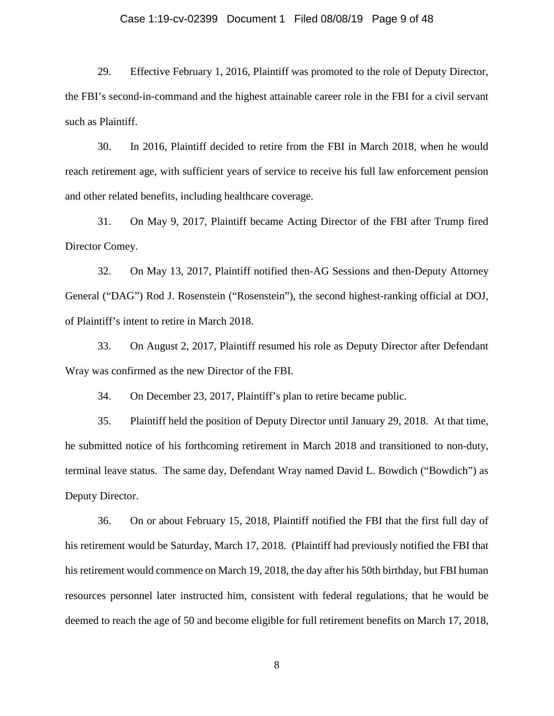## Case 1:19-cv-02399 Document 1 Filed 08/08/19 Page 9 of 48

29. Effective February 1, 2016, Plaintiff was promoted to the role of Deputy Director, the FBI's second-in-command and the highest attainable career role in the FBI for a civil servant such as Plaintiff.

30. In 2016, Plaintiff decided to retire from the FBI in March 2018, when he would reach retirement age, with sufficient years of service to receive his full law enforcement pension and other related benefits, including healthcare coverage.

31. On May 9, 2017, Plaintiff became Acting Director of the FBI after Trump fired Director Comey.

32. On May 13, 2017, Plaintiff notified then-AG Sessions and then-Deputy Attorney General ("DAG") Rod J. Rosenstein ("Rosenstein"), the second highest-ranking official at DOJ, of Plaintiff's intent to retire in March 2018.

33. On August 2, 2017, Plaintiff resumed his role as Deputy Director after Defendant Wray was confirmed as the new Director of the FBI.

34. On December 23, 2017, Plaintiff's plan to retire became public.

35. Plaintiff held the position of Deputy Director until January 29, 2018. At that time, he submitted notice of his forthcoming retirement in March 2018 and transitioned to non-duty, terminal leave status. The same day, Defendant Wray named David L. Bowdich ("Bowdich") as Deputy Director.

36. On or about February 15, 2018, Plaintiff notified the FBI that the first full day of his retirement would be Saturday, March 17, 2018. (Plaintiff had previously notified the FBI that his retirement would commence on March 19, 2018, the day after his 50th birthday, but FBI human resources personnel later instructed him, consistent with federal regulations, that he would be deemed to reach the age of 50 and become eligible for full retirement benefits on March 17, 2018,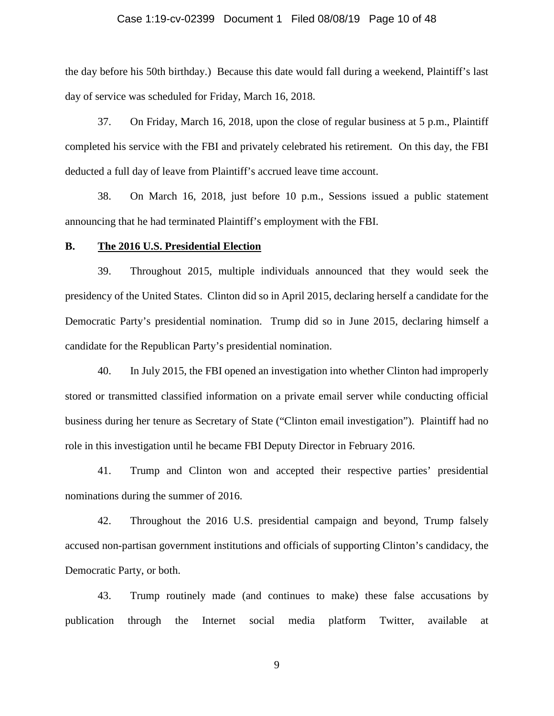## Case 1:19-cv-02399 Document 1 Filed 08/08/19 Page 10 of 48

the day before his 50th birthday.) Because this date would fall during a weekend, Plaintiff's last day of service was scheduled for Friday, March 16, 2018.

37. On Friday, March 16, 2018, upon the close of regular business at 5 p.m., Plaintiff completed his service with the FBI and privately celebrated his retirement. On this day, the FBI deducted a full day of leave from Plaintiff's accrued leave time account.

38. On March 16, 2018, just before 10 p.m., Sessions issued a public statement announcing that he had terminated Plaintiff's employment with the FBI.

### **B. The 2016 U.S. Presidential Election**

39. Throughout 2015, multiple individuals announced that they would seek the presidency of the United States. Clinton did so in April 2015, declaring herself a candidate for the Democratic Party's presidential nomination. Trump did so in June 2015, declaring himself a candidate for the Republican Party's presidential nomination.

40. In July 2015, the FBI opened an investigation into whether Clinton had improperly stored or transmitted classified information on a private email server while conducting official business during her tenure as Secretary of State ("Clinton email investigation"). Plaintiff had no role in this investigation until he became FBI Deputy Director in February 2016.

41. Trump and Clinton won and accepted their respective parties' presidential nominations during the summer of 2016.

42. Throughout the 2016 U.S. presidential campaign and beyond, Trump falsely accused non-partisan government institutions and officials of supporting Clinton's candidacy, the Democratic Party, or both.

43. Trump routinely made (and continues to make) these false accusations by publication through the Internet social media platform Twitter, available at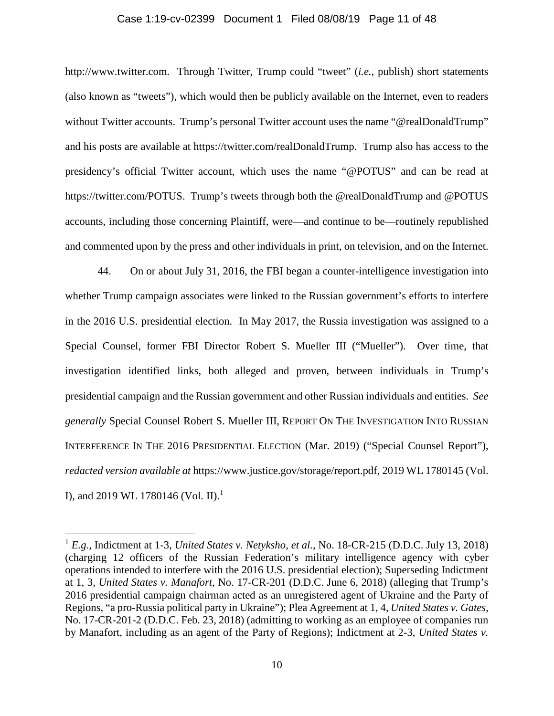## Case 1:19-cv-02399 Document 1 Filed 08/08/19 Page 11 of 48

http://www.twitter.com. Through Twitter, Trump could "tweet" (*i.e.*, publish) short statements (also known as "tweets"), which would then be publicly available on the Internet, even to readers without Twitter accounts. Trump's personal Twitter account uses the name "@realDonaldTrump" and his posts are available at https://twitter.com/realDonaldTrump. Trump also has access to the presidency's official Twitter account, which uses the name "@POTUS" and can be read at https://twitter.com/POTUS. Trump's tweets through both the @realDonaldTrump and @POTUS accounts, including those concerning Plaintiff, were—and continue to be—routinely republished and commented upon by the press and other individuals in print, on television, and on the Internet.

44. On or about July 31, 2016, the FBI began a counter-intelligence investigation into whether Trump campaign associates were linked to the Russian government's efforts to interfere in the 2016 U.S. presidential election. In May 2017, the Russia investigation was assigned to a Special Counsel, former FBI Director Robert S. Mueller III ("Mueller"). Over time, that investigation identified links, both alleged and proven, between individuals in Trump's presidential campaign and the Russian government and other Russian individuals and entities. *See generally* Special Counsel Robert S. Mueller III, REPORT ON THE INVESTIGATION INTO RUSSIAN INTERFERENCE IN THE 2016 PRESIDENTIAL ELECTION (Mar. 2019) ("Special Counsel Report"), *redacted version available at* https://www.justice.gov/storage/report.pdf, 2019 WL 1780145 (Vol. I), and 2019 WL 1780146 (Vol. II).<sup>1</sup>

<sup>1</sup> *E.g.*, Indictment at 1-3, *United States v. Netyksho, et al.*, No. 18-CR-215 (D.D.C. July 13, 2018) (charging 12 officers of the Russian Federation's military intelligence agency with cyber operations intended to interfere with the 2016 U.S. presidential election); Superseding Indictment at 1, 3, *United States v. Manafort*, No. 17-CR-201 (D.D.C. June 6, 2018) (alleging that Trump's 2016 presidential campaign chairman acted as an unregistered agent of Ukraine and the Party of Regions, "a pro-Russia political party in Ukraine"); Plea Agreement at 1, 4, *United States v. Gates*, No. 17-CR-201-2 (D.D.C. Feb. 23, 2018) (admitting to working as an employee of companies run by Manafort, including as an agent of the Party of Regions); Indictment at 2-3, *United States v.*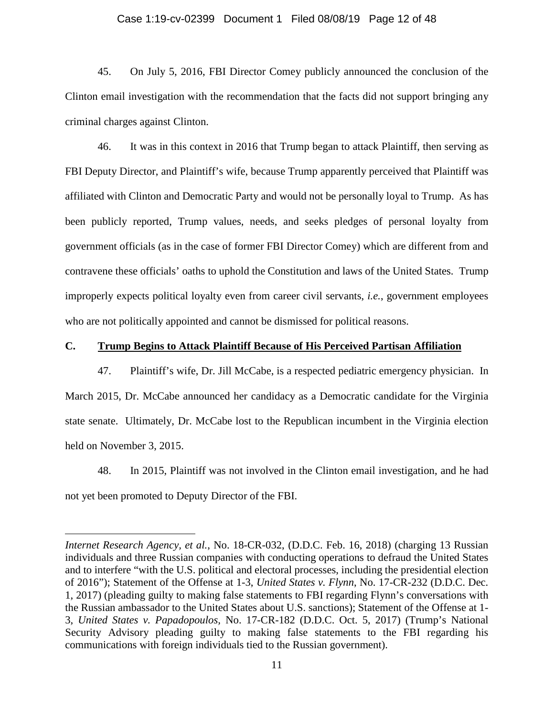## Case 1:19-cv-02399 Document 1 Filed 08/08/19 Page 12 of 48

45. On July 5, 2016, FBI Director Comey publicly announced the conclusion of the Clinton email investigation with the recommendation that the facts did not support bringing any criminal charges against Clinton.

46. It was in this context in 2016 that Trump began to attack Plaintiff, then serving as FBI Deputy Director, and Plaintiff's wife, because Trump apparently perceived that Plaintiff was affiliated with Clinton and Democratic Party and would not be personally loyal to Trump. As has been publicly reported, Trump values, needs, and seeks pledges of personal loyalty from government officials (as in the case of former FBI Director Comey) which are different from and contravene these officials' oaths to uphold the Constitution and laws of the United States. Trump improperly expects political loyalty even from career civil servants, *i.e.*, government employees who are not politically appointed and cannot be dismissed for political reasons.

## **C. Trump Begins to Attack Plaintiff Because of His Perceived Partisan Affiliation**

47. Plaintiff's wife, Dr. Jill McCabe, is a respected pediatric emergency physician. In March 2015, Dr. McCabe announced her candidacy as a Democratic candidate for the Virginia state senate. Ultimately, Dr. McCabe lost to the Republican incumbent in the Virginia election held on November 3, 2015.

48. In 2015, Plaintiff was not involved in the Clinton email investigation, and he had not yet been promoted to Deputy Director of the FBI.

*Internet Research Agency, et al.*, No. 18-CR-032, (D.D.C. Feb. 16, 2018) (charging 13 Russian individuals and three Russian companies with conducting operations to defraud the United States and to interfere "with the U.S. political and electoral processes, including the presidential election of 2016"); Statement of the Offense at 1-3, *United States v. Flynn*, No. 17-CR-232 (D.D.C. Dec. 1, 2017) (pleading guilty to making false statements to FBI regarding Flynn's conversations with the Russian ambassador to the United States about U.S. sanctions); Statement of the Offense at 1- 3, *United States v. Papadopoulos,* No. 17-CR-182 (D.D.C. Oct. 5, 2017) (Trump's National Security Advisory pleading guilty to making false statements to the FBI regarding his communications with foreign individuals tied to the Russian government).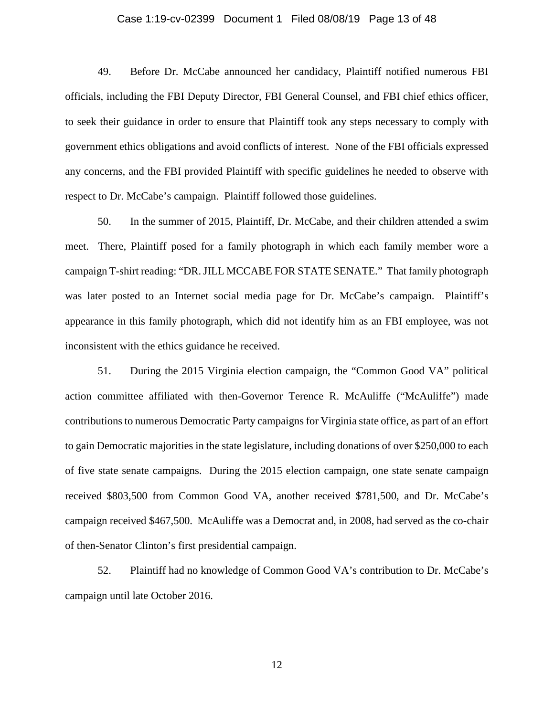## Case 1:19-cv-02399 Document 1 Filed 08/08/19 Page 13 of 48

49. Before Dr. McCabe announced her candidacy, Plaintiff notified numerous FBI officials, including the FBI Deputy Director, FBI General Counsel, and FBI chief ethics officer, to seek their guidance in order to ensure that Plaintiff took any steps necessary to comply with government ethics obligations and avoid conflicts of interest. None of the FBI officials expressed any concerns, and the FBI provided Plaintiff with specific guidelines he needed to observe with respect to Dr. McCabe's campaign. Plaintiff followed those guidelines.

50. In the summer of 2015, Plaintiff, Dr. McCabe, and their children attended a swim meet. There, Plaintiff posed for a family photograph in which each family member wore a campaign T-shirt reading: "DR. JILL MCCABE FOR STATE SENATE." That family photograph was later posted to an Internet social media page for Dr. McCabe's campaign. Plaintiff's appearance in this family photograph, which did not identify him as an FBI employee, was not inconsistent with the ethics guidance he received.

51. During the 2015 Virginia election campaign, the "Common Good VA" political action committee affiliated with then-Governor Terence R. McAuliffe ("McAuliffe") made contributions to numerous Democratic Party campaigns for Virginia state office, as part of an effort to gain Democratic majorities in the state legislature, including donations of over \$250,000 to each of five state senate campaigns. During the 2015 election campaign, one state senate campaign received \$803,500 from Common Good VA, another received \$781,500, and Dr. McCabe's campaign received \$467,500. McAuliffe was a Democrat and, in 2008, had served as the co-chair of then-Senator Clinton's first presidential campaign.

52. Plaintiff had no knowledge of Common Good VA's contribution to Dr. McCabe's campaign until late October 2016.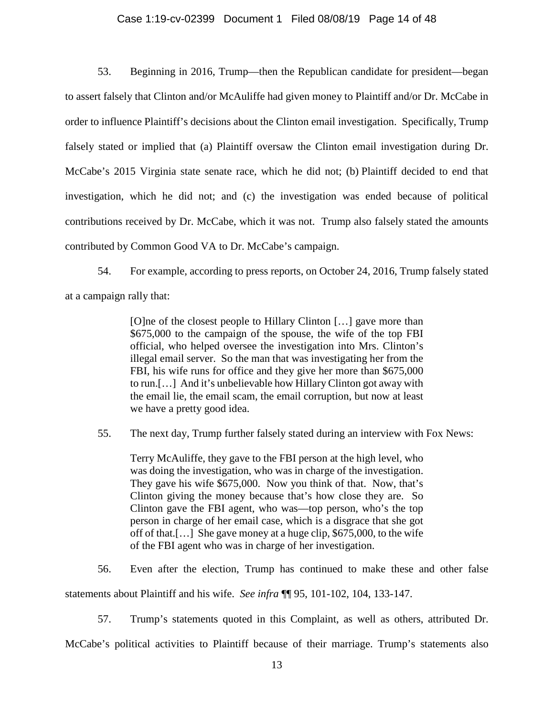### Case 1:19-cv-02399 Document 1 Filed 08/08/19 Page 14 of 48

53. Beginning in 2016, Trump—then the Republican candidate for president—began to assert falsely that Clinton and/or McAuliffe had given money to Plaintiff and/or Dr. McCabe in order to influence Plaintiff's decisions about the Clinton email investigation. Specifically, Trump falsely stated or implied that (a) Plaintiff oversaw the Clinton email investigation during Dr. McCabe's 2015 Virginia state senate race, which he did not; (b) Plaintiff decided to end that investigation, which he did not; and (c) the investigation was ended because of political contributions received by Dr. McCabe, which it was not. Trump also falsely stated the amounts contributed by Common Good VA to Dr. McCabe's campaign.

54. For example, according to press reports, on October 24, 2016, Trump falsely stated at a campaign rally that:

> [O]ne of the closest people to Hillary Clinton […] gave more than \$675,000 to the campaign of the spouse, the wife of the top FBI official, who helped oversee the investigation into Mrs. Clinton's illegal email server. So the man that was investigating her from the FBI, his wife runs for office and they give her more than \$675,000 to run.[…] And it's unbelievable how Hillary Clinton got away with the email lie, the email scam, the email corruption, but now at least we have a pretty good idea.

55. The next day, Trump further falsely stated during an interview with Fox News:

Terry McAuliffe, they gave to the FBI person at the high level, who was doing the investigation, who was in charge of the investigation. They gave his wife \$675,000. Now you think of that. Now, that's Clinton giving the money because that's how close they are. So Clinton gave the FBI agent, who was—top person, who's the top person in charge of her email case, which is a disgrace that she got off of that.[…] She gave money at a huge clip, \$675,000, to the wife of the FBI agent who was in charge of her investigation.

56. Even after the election, Trump has continued to make these and other false

statements about Plaintiff and his wife. *See infra* ¶¶ 95, 101-102, 104, 133-147.

57. Trump's statements quoted in this Complaint, as well as others, attributed Dr.

McCabe's political activities to Plaintiff because of their marriage. Trump's statements also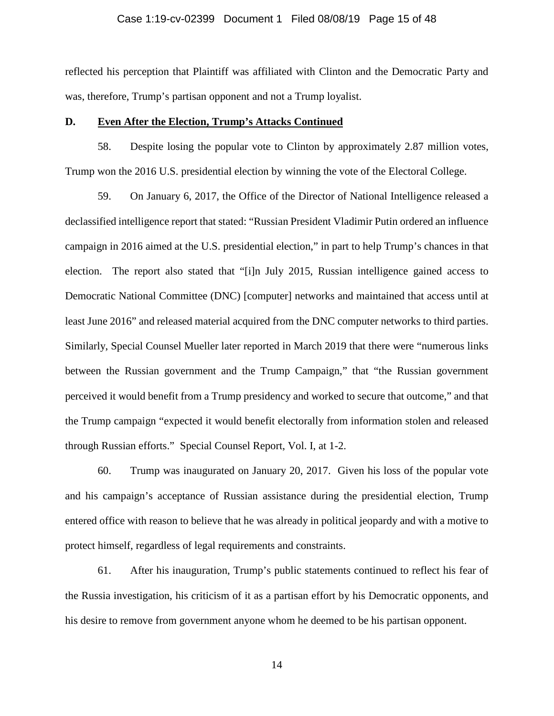## Case 1:19-cv-02399 Document 1 Filed 08/08/19 Page 15 of 48

reflected his perception that Plaintiff was affiliated with Clinton and the Democratic Party and was, therefore, Trump's partisan opponent and not a Trump loyalist.

## **D. Even After the Election, Trump's Attacks Continued**

58. Despite losing the popular vote to Clinton by approximately 2.87 million votes, Trump won the 2016 U.S. presidential election by winning the vote of the Electoral College.

59. On January 6, 2017, the Office of the Director of National Intelligence released a declassified intelligence report that stated: "Russian President Vladimir Putin ordered an influence campaign in 2016 aimed at the U.S. presidential election," in part to help Trump's chances in that election. The report also stated that "[i]n July 2015, Russian intelligence gained access to Democratic National Committee (DNC) [computer] networks and maintained that access until at least June 2016" and released material acquired from the DNC computer networks to third parties. Similarly, Special Counsel Mueller later reported in March 2019 that there were "numerous links between the Russian government and the Trump Campaign," that "the Russian government perceived it would benefit from a Trump presidency and worked to secure that outcome," and that the Trump campaign "expected it would benefit electorally from information stolen and released through Russian efforts." Special Counsel Report, Vol. I, at 1-2.

60. Trump was inaugurated on January 20, 2017. Given his loss of the popular vote and his campaign's acceptance of Russian assistance during the presidential election, Trump entered office with reason to believe that he was already in political jeopardy and with a motive to protect himself, regardless of legal requirements and constraints.

61. After his inauguration, Trump's public statements continued to reflect his fear of the Russia investigation, his criticism of it as a partisan effort by his Democratic opponents, and his desire to remove from government anyone whom he deemed to be his partisan opponent.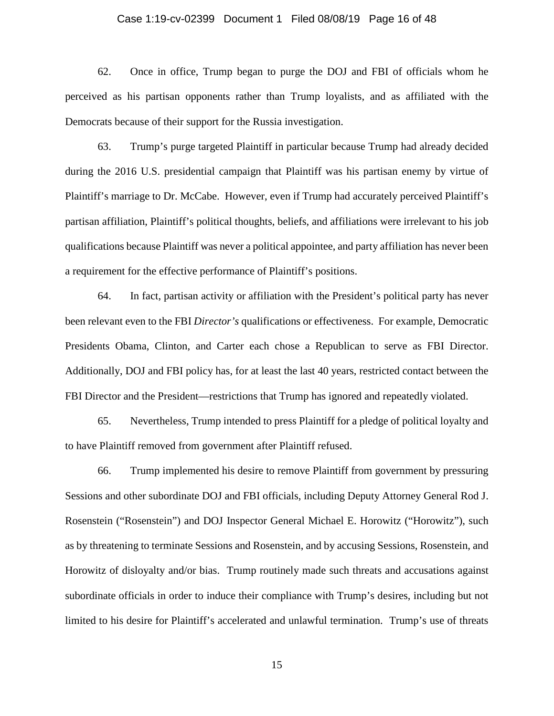## Case 1:19-cv-02399 Document 1 Filed 08/08/19 Page 16 of 48

62. Once in office, Trump began to purge the DOJ and FBI of officials whom he perceived as his partisan opponents rather than Trump loyalists, and as affiliated with the Democrats because of their support for the Russia investigation.

63. Trump's purge targeted Plaintiff in particular because Trump had already decided during the 2016 U.S. presidential campaign that Plaintiff was his partisan enemy by virtue of Plaintiff's marriage to Dr. McCabe. However, even if Trump had accurately perceived Plaintiff's partisan affiliation, Plaintiff's political thoughts, beliefs, and affiliations were irrelevant to his job qualifications because Plaintiff was never a political appointee, and party affiliation has never been a requirement for the effective performance of Plaintiff's positions.

64. In fact, partisan activity or affiliation with the President's political party has never been relevant even to the FBI *Director's* qualifications or effectiveness. For example, Democratic Presidents Obama, Clinton, and Carter each chose a Republican to serve as FBI Director. Additionally, DOJ and FBI policy has, for at least the last 40 years, restricted contact between the FBI Director and the President—restrictions that Trump has ignored and repeatedly violated.

65. Nevertheless, Trump intended to press Plaintiff for a pledge of political loyalty and to have Plaintiff removed from government after Plaintiff refused.

66. Trump implemented his desire to remove Plaintiff from government by pressuring Sessions and other subordinate DOJ and FBI officials, including Deputy Attorney General Rod J. Rosenstein ("Rosenstein") and DOJ Inspector General Michael E. Horowitz ("Horowitz"), such as by threatening to terminate Sessions and Rosenstein, and by accusing Sessions, Rosenstein, and Horowitz of disloyalty and/or bias. Trump routinely made such threats and accusations against subordinate officials in order to induce their compliance with Trump's desires, including but not limited to his desire for Plaintiff's accelerated and unlawful termination. Trump's use of threats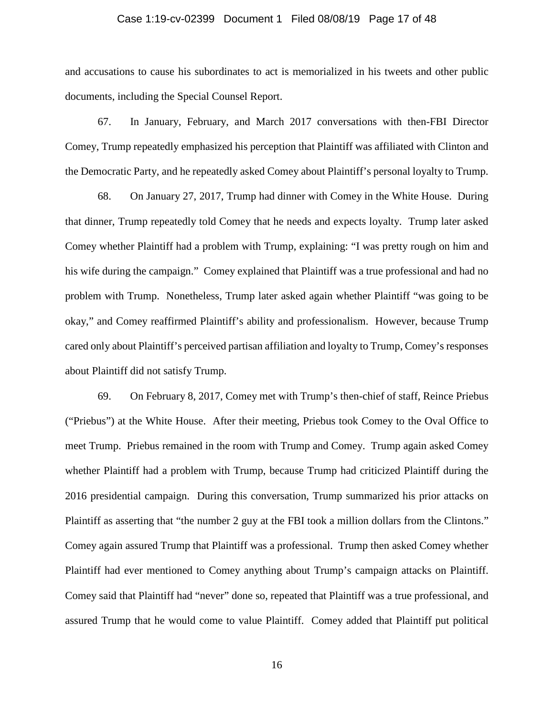#### Case 1:19-cv-02399 Document 1 Filed 08/08/19 Page 17 of 48

and accusations to cause his subordinates to act is memorialized in his tweets and other public documents, including the Special Counsel Report.

67. In January, February, and March 2017 conversations with then-FBI Director Comey, Trump repeatedly emphasized his perception that Plaintiff was affiliated with Clinton and the Democratic Party, and he repeatedly asked Comey about Plaintiff's personal loyalty to Trump.

68. On January 27, 2017, Trump had dinner with Comey in the White House. During that dinner, Trump repeatedly told Comey that he needs and expects loyalty. Trump later asked Comey whether Plaintiff had a problem with Trump, explaining: "I was pretty rough on him and his wife during the campaign." Comey explained that Plaintiff was a true professional and had no problem with Trump. Nonetheless, Trump later asked again whether Plaintiff "was going to be okay," and Comey reaffirmed Plaintiff's ability and professionalism. However, because Trump cared only about Plaintiff's perceived partisan affiliation and loyalty to Trump, Comey's responses about Plaintiff did not satisfy Trump.

69. On February 8, 2017, Comey met with Trump's then-chief of staff, Reince Priebus ("Priebus") at the White House. After their meeting, Priebus took Comey to the Oval Office to meet Trump. Priebus remained in the room with Trump and Comey. Trump again asked Comey whether Plaintiff had a problem with Trump, because Trump had criticized Plaintiff during the 2016 presidential campaign. During this conversation, Trump summarized his prior attacks on Plaintiff as asserting that "the number 2 guy at the FBI took a million dollars from the Clintons." Comey again assured Trump that Plaintiff was a professional. Trump then asked Comey whether Plaintiff had ever mentioned to Comey anything about Trump's campaign attacks on Plaintiff. Comey said that Plaintiff had "never" done so, repeated that Plaintiff was a true professional, and assured Trump that he would come to value Plaintiff. Comey added that Plaintiff put political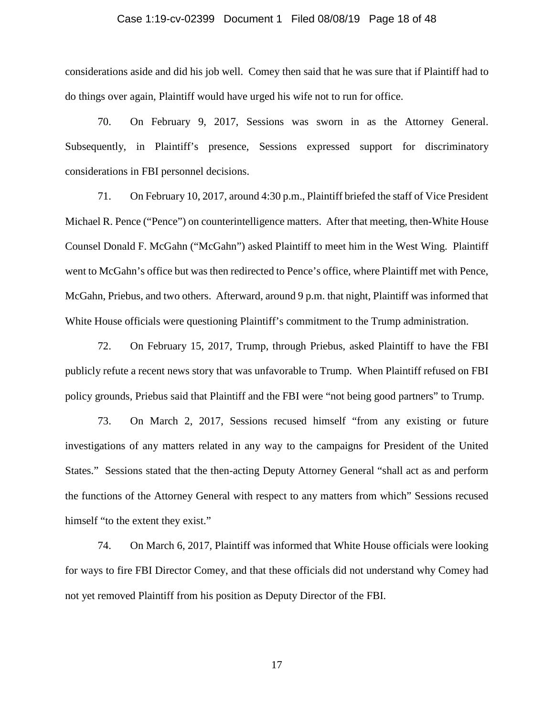## Case 1:19-cv-02399 Document 1 Filed 08/08/19 Page 18 of 48

considerations aside and did his job well. Comey then said that he was sure that if Plaintiff had to do things over again, Plaintiff would have urged his wife not to run for office.

70. On February 9, 2017, Sessions was sworn in as the Attorney General. Subsequently, in Plaintiff's presence, Sessions expressed support for discriminatory considerations in FBI personnel decisions.

71. On February 10, 2017, around 4:30 p.m., Plaintiff briefed the staff of Vice President Michael R. Pence ("Pence") on counterintelligence matters. After that meeting, then-White House Counsel Donald F. McGahn ("McGahn") asked Plaintiff to meet him in the West Wing. Plaintiff went to McGahn's office but was then redirected to Pence's office, where Plaintiff met with Pence, McGahn, Priebus, and two others. Afterward, around 9 p.m. that night, Plaintiff was informed that White House officials were questioning Plaintiff's commitment to the Trump administration.

72. On February 15, 2017, Trump, through Priebus, asked Plaintiff to have the FBI publicly refute a recent news story that was unfavorable to Trump. When Plaintiff refused on FBI policy grounds, Priebus said that Plaintiff and the FBI were "not being good partners" to Trump.

73. On March 2, 2017, Sessions recused himself "from any existing or future investigations of any matters related in any way to the campaigns for President of the United States." Sessions stated that the then-acting Deputy Attorney General "shall act as and perform the functions of the Attorney General with respect to any matters from which" Sessions recused himself "to the extent they exist."

74. On March 6, 2017, Plaintiff was informed that White House officials were looking for ways to fire FBI Director Comey, and that these officials did not understand why Comey had not yet removed Plaintiff from his position as Deputy Director of the FBI.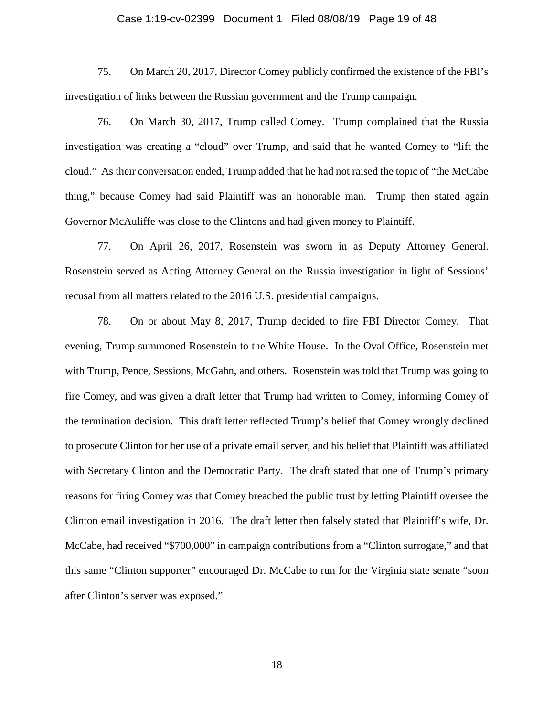## Case 1:19-cv-02399 Document 1 Filed 08/08/19 Page 19 of 48

75. On March 20, 2017, Director Comey publicly confirmed the existence of the FBI's investigation of links between the Russian government and the Trump campaign.

76. On March 30, 2017, Trump called Comey. Trump complained that the Russia investigation was creating a "cloud" over Trump, and said that he wanted Comey to "lift the cloud." As their conversation ended, Trump added that he had not raised the topic of "the McCabe thing," because Comey had said Plaintiff was an honorable man. Trump then stated again Governor McAuliffe was close to the Clintons and had given money to Plaintiff.

77. On April 26, 2017, Rosenstein was sworn in as Deputy Attorney General. Rosenstein served as Acting Attorney General on the Russia investigation in light of Sessions' recusal from all matters related to the 2016 U.S. presidential campaigns.

78. On or about May 8, 2017, Trump decided to fire FBI Director Comey. That evening, Trump summoned Rosenstein to the White House. In the Oval Office, Rosenstein met with Trump, Pence, Sessions, McGahn, and others. Rosenstein was told that Trump was going to fire Comey, and was given a draft letter that Trump had written to Comey, informing Comey of the termination decision. This draft letter reflected Trump's belief that Comey wrongly declined to prosecute Clinton for her use of a private email server, and his belief that Plaintiff was affiliated with Secretary Clinton and the Democratic Party. The draft stated that one of Trump's primary reasons for firing Comey was that Comey breached the public trust by letting Plaintiff oversee the Clinton email investigation in 2016. The draft letter then falsely stated that Plaintiff's wife, Dr. McCabe, had received "\$700,000" in campaign contributions from a "Clinton surrogate," and that this same "Clinton supporter" encouraged Dr. McCabe to run for the Virginia state senate "soon after Clinton's server was exposed."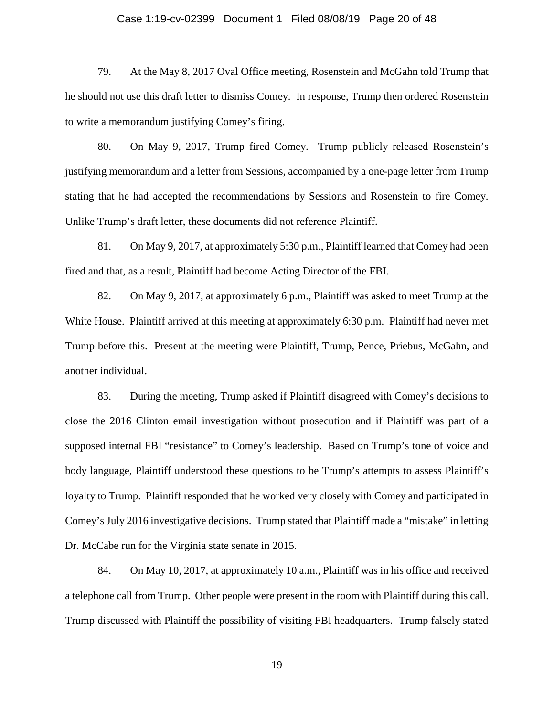## Case 1:19-cv-02399 Document 1 Filed 08/08/19 Page 20 of 48

79. At the May 8, 2017 Oval Office meeting, Rosenstein and McGahn told Trump that he should not use this draft letter to dismiss Comey. In response, Trump then ordered Rosenstein to write a memorandum justifying Comey's firing.

80. On May 9, 2017, Trump fired Comey. Trump publicly released Rosenstein's justifying memorandum and a letter from Sessions, accompanied by a one-page letter from Trump stating that he had accepted the recommendations by Sessions and Rosenstein to fire Comey. Unlike Trump's draft letter, these documents did not reference Plaintiff.

81. On May 9, 2017, at approximately 5:30 p.m., Plaintiff learned that Comey had been fired and that, as a result, Plaintiff had become Acting Director of the FBI.

82. On May 9, 2017, at approximately 6 p.m., Plaintiff was asked to meet Trump at the White House. Plaintiff arrived at this meeting at approximately 6:30 p.m. Plaintiff had never met Trump before this. Present at the meeting were Plaintiff, Trump, Pence, Priebus, McGahn, and another individual.

83. During the meeting, Trump asked if Plaintiff disagreed with Comey's decisions to close the 2016 Clinton email investigation without prosecution and if Plaintiff was part of a supposed internal FBI "resistance" to Comey's leadership. Based on Trump's tone of voice and body language, Plaintiff understood these questions to be Trump's attempts to assess Plaintiff's loyalty to Trump. Plaintiff responded that he worked very closely with Comey and participated in Comey's July 2016 investigative decisions. Trump stated that Plaintiff made a "mistake" in letting Dr. McCabe run for the Virginia state senate in 2015.

84. On May 10, 2017, at approximately 10 a.m., Plaintiff was in his office and received a telephone call from Trump. Other people were present in the room with Plaintiff during this call. Trump discussed with Plaintiff the possibility of visiting FBI headquarters. Trump falsely stated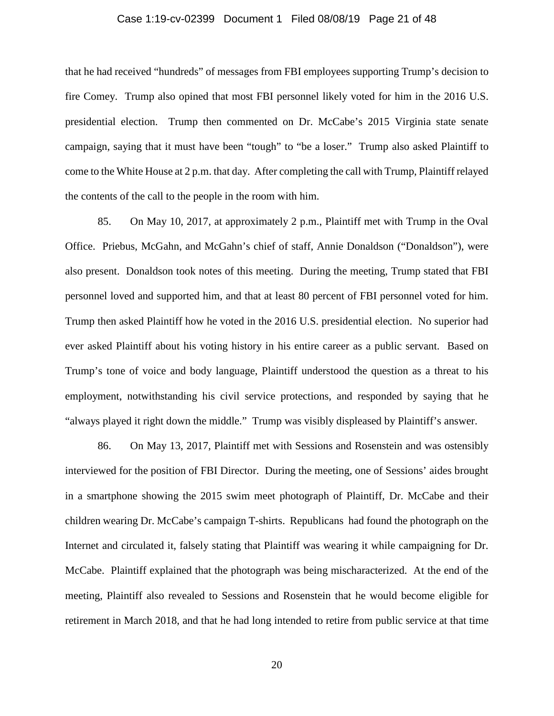## Case 1:19-cv-02399 Document 1 Filed 08/08/19 Page 21 of 48

that he had received "hundreds" of messages from FBI employees supporting Trump's decision to fire Comey. Trump also opined that most FBI personnel likely voted for him in the 2016 U.S. presidential election. Trump then commented on Dr. McCabe's 2015 Virginia state senate campaign, saying that it must have been "tough" to "be a loser." Trump also asked Plaintiff to come to the White House at 2 p.m. that day. After completing the call with Trump, Plaintiff relayed the contents of the call to the people in the room with him.

85. On May 10, 2017, at approximately 2 p.m., Plaintiff met with Trump in the Oval Office. Priebus, McGahn, and McGahn's chief of staff, Annie Donaldson ("Donaldson"), were also present. Donaldson took notes of this meeting. During the meeting, Trump stated that FBI personnel loved and supported him, and that at least 80 percent of FBI personnel voted for him. Trump then asked Plaintiff how he voted in the 2016 U.S. presidential election. No superior had ever asked Plaintiff about his voting history in his entire career as a public servant. Based on Trump's tone of voice and body language, Plaintiff understood the question as a threat to his employment, notwithstanding his civil service protections, and responded by saying that he "always played it right down the middle." Trump was visibly displeased by Plaintiff's answer.

86. On May 13, 2017, Plaintiff met with Sessions and Rosenstein and was ostensibly interviewed for the position of FBI Director. During the meeting, one of Sessions' aides brought in a smartphone showing the 2015 swim meet photograph of Plaintiff, Dr. McCabe and their children wearing Dr. McCabe's campaign T-shirts. Republicans had found the photograph on the Internet and circulated it, falsely stating that Plaintiff was wearing it while campaigning for Dr. McCabe. Plaintiff explained that the photograph was being mischaracterized. At the end of the meeting, Plaintiff also revealed to Sessions and Rosenstein that he would become eligible for retirement in March 2018, and that he had long intended to retire from public service at that time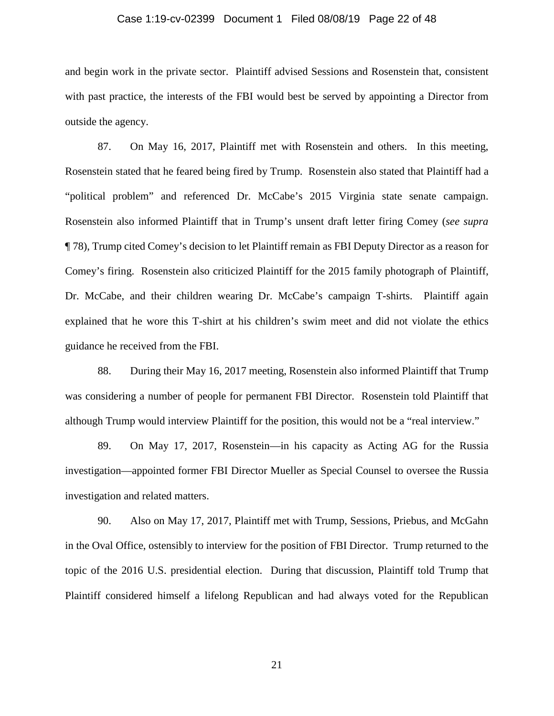## Case 1:19-cv-02399 Document 1 Filed 08/08/19 Page 22 of 48

and begin work in the private sector. Plaintiff advised Sessions and Rosenstein that, consistent with past practice, the interests of the FBI would best be served by appointing a Director from outside the agency.

87. On May 16, 2017, Plaintiff met with Rosenstein and others. In this meeting, Rosenstein stated that he feared being fired by Trump. Rosenstein also stated that Plaintiff had a "political problem" and referenced Dr. McCabe's 2015 Virginia state senate campaign. Rosenstein also informed Plaintiff that in Trump's unsent draft letter firing Comey (*see supra*  ¶ 78), Trump cited Comey's decision to let Plaintiff remain as FBI Deputy Director as a reason for Comey's firing. Rosenstein also criticized Plaintiff for the 2015 family photograph of Plaintiff, Dr. McCabe, and their children wearing Dr. McCabe's campaign T-shirts. Plaintiff again explained that he wore this T-shirt at his children's swim meet and did not violate the ethics guidance he received from the FBI.

88. During their May 16, 2017 meeting, Rosenstein also informed Plaintiff that Trump was considering a number of people for permanent FBI Director. Rosenstein told Plaintiff that although Trump would interview Plaintiff for the position, this would not be a "real interview."

89. On May 17, 2017, Rosenstein—in his capacity as Acting AG for the Russia investigation—appointed former FBI Director Mueller as Special Counsel to oversee the Russia investigation and related matters.

90. Also on May 17, 2017, Plaintiff met with Trump, Sessions, Priebus, and McGahn in the Oval Office, ostensibly to interview for the position of FBI Director. Trump returned to the topic of the 2016 U.S. presidential election. During that discussion, Plaintiff told Trump that Plaintiff considered himself a lifelong Republican and had always voted for the Republican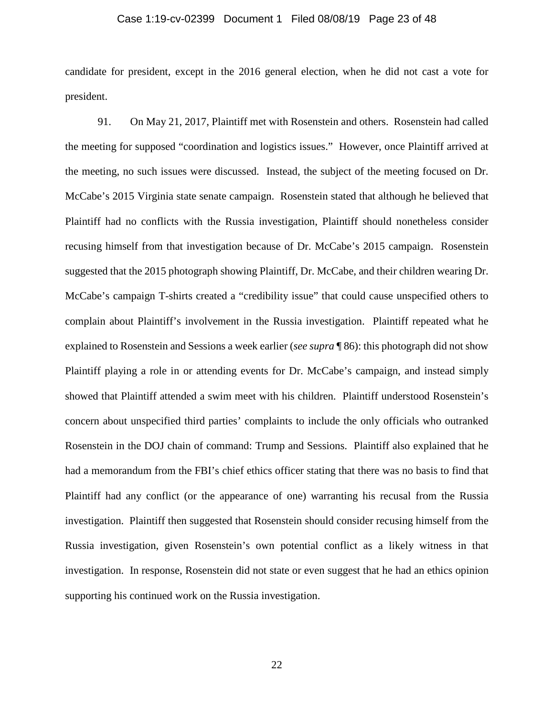## Case 1:19-cv-02399 Document 1 Filed 08/08/19 Page 23 of 48

candidate for president, except in the 2016 general election, when he did not cast a vote for president.

91. On May 21, 2017, Plaintiff met with Rosenstein and others. Rosenstein had called the meeting for supposed "coordination and logistics issues." However, once Plaintiff arrived at the meeting, no such issues were discussed. Instead, the subject of the meeting focused on Dr. McCabe's 2015 Virginia state senate campaign. Rosenstein stated that although he believed that Plaintiff had no conflicts with the Russia investigation, Plaintiff should nonetheless consider recusing himself from that investigation because of Dr. McCabe's 2015 campaign. Rosenstein suggested that the 2015 photograph showing Plaintiff, Dr. McCabe, and their children wearing Dr. McCabe's campaign T-shirts created a "credibility issue" that could cause unspecified others to complain about Plaintiff's involvement in the Russia investigation. Plaintiff repeated what he explained to Rosenstein and Sessions a week earlier (*see supra* ¶ 86): this photograph did not show Plaintiff playing a role in or attending events for Dr. McCabe's campaign, and instead simply showed that Plaintiff attended a swim meet with his children. Plaintiff understood Rosenstein's concern about unspecified third parties' complaints to include the only officials who outranked Rosenstein in the DOJ chain of command: Trump and Sessions. Plaintiff also explained that he had a memorandum from the FBI's chief ethics officer stating that there was no basis to find that Plaintiff had any conflict (or the appearance of one) warranting his recusal from the Russia investigation. Plaintiff then suggested that Rosenstein should consider recusing himself from the Russia investigation, given Rosenstein's own potential conflict as a likely witness in that investigation. In response, Rosenstein did not state or even suggest that he had an ethics opinion supporting his continued work on the Russia investigation.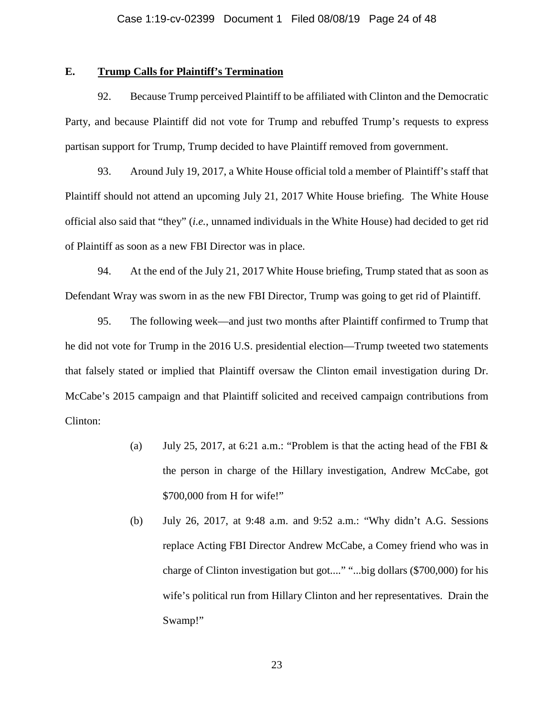## **E. Trump Calls for Plaintiff's Termination**

92. Because Trump perceived Plaintiff to be affiliated with Clinton and the Democratic Party, and because Plaintiff did not vote for Trump and rebuffed Trump's requests to express partisan support for Trump, Trump decided to have Plaintiff removed from government.

93. Around July 19, 2017, a White House official told a member of Plaintiff's staff that Plaintiff should not attend an upcoming July 21, 2017 White House briefing. The White House official also said that "they" (*i.e.*, unnamed individuals in the White House) had decided to get rid of Plaintiff as soon as a new FBI Director was in place.

94. At the end of the July 21, 2017 White House briefing, Trump stated that as soon as Defendant Wray was sworn in as the new FBI Director, Trump was going to get rid of Plaintiff.

95. The following week—and just two months after Plaintiff confirmed to Trump that he did not vote for Trump in the 2016 U.S. presidential election—Trump tweeted two statements that falsely stated or implied that Plaintiff oversaw the Clinton email investigation during Dr. McCabe's 2015 campaign and that Plaintiff solicited and received campaign contributions from Clinton:

- (a) July 25, 2017, at 6:21 a.m.: "Problem is that the acting head of the FBI  $\&$ the person in charge of the Hillary investigation, Andrew McCabe, got \$700,000 from H for wife!"
- (b) July 26, 2017, at 9:48 a.m. and 9:52 a.m.: "Why didn't A.G. Sessions replace Acting FBI Director Andrew McCabe, a Comey friend who was in charge of Clinton investigation but got...." "...big dollars (\$700,000) for his wife's political run from Hillary Clinton and her representatives. Drain the Swamp!"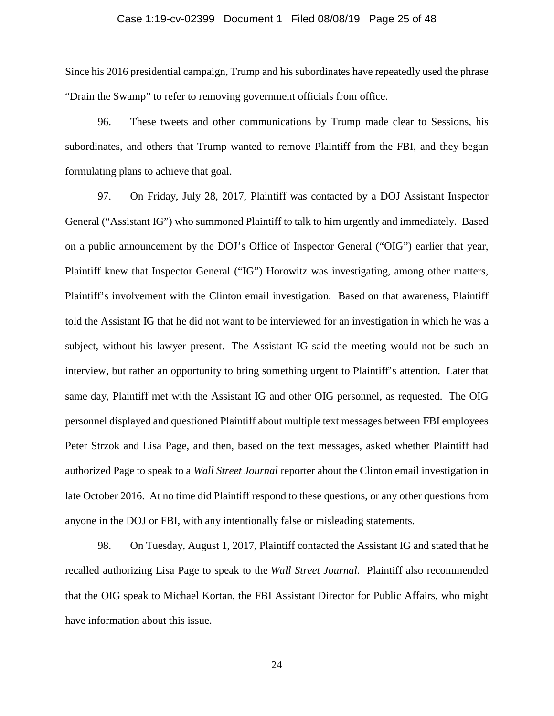## Case 1:19-cv-02399 Document 1 Filed 08/08/19 Page 25 of 48

Since his 2016 presidential campaign, Trump and his subordinates have repeatedly used the phrase "Drain the Swamp" to refer to removing government officials from office.

96. These tweets and other communications by Trump made clear to Sessions, his subordinates, and others that Trump wanted to remove Plaintiff from the FBI, and they began formulating plans to achieve that goal.

97. On Friday, July 28, 2017, Plaintiff was contacted by a DOJ Assistant Inspector General ("Assistant IG") who summoned Plaintiff to talk to him urgently and immediately. Based on a public announcement by the DOJ's Office of Inspector General ("OIG") earlier that year, Plaintiff knew that Inspector General ("IG") Horowitz was investigating, among other matters, Plaintiff's involvement with the Clinton email investigation. Based on that awareness, Plaintiff told the Assistant IG that he did not want to be interviewed for an investigation in which he was a subject, without his lawyer present. The Assistant IG said the meeting would not be such an interview, but rather an opportunity to bring something urgent to Plaintiff's attention. Later that same day, Plaintiff met with the Assistant IG and other OIG personnel, as requested. The OIG personnel displayed and questioned Plaintiff about multiple text messages between FBI employees Peter Strzok and Lisa Page, and then, based on the text messages, asked whether Plaintiff had authorized Page to speak to a *Wall Street Journal* reporter about the Clinton email investigation in late October 2016. At no time did Plaintiff respond to these questions, or any other questions from anyone in the DOJ or FBI, with any intentionally false or misleading statements.

98. On Tuesday, August 1, 2017, Plaintiff contacted the Assistant IG and stated that he recalled authorizing Lisa Page to speak to the *Wall Street Journal*. Plaintiff also recommended that the OIG speak to Michael Kortan, the FBI Assistant Director for Public Affairs, who might have information about this issue.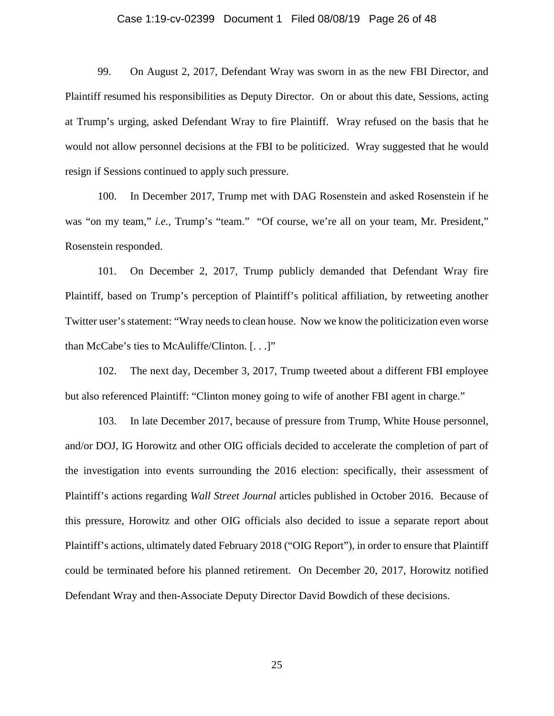## Case 1:19-cv-02399 Document 1 Filed 08/08/19 Page 26 of 48

99. On August 2, 2017, Defendant Wray was sworn in as the new FBI Director, and Plaintiff resumed his responsibilities as Deputy Director. On or about this date, Sessions, acting at Trump's urging, asked Defendant Wray to fire Plaintiff. Wray refused on the basis that he would not allow personnel decisions at the FBI to be politicized. Wray suggested that he would resign if Sessions continued to apply such pressure.

100. In December 2017, Trump met with DAG Rosenstein and asked Rosenstein if he was "on my team," *i.e.*, Trump's "team." "Of course, we're all on your team, Mr. President," Rosenstein responded.

101. On December 2, 2017, Trump publicly demanded that Defendant Wray fire Plaintiff, based on Trump's perception of Plaintiff's political affiliation, by retweeting another Twitter user's statement: "Wray needs to clean house. Now we know the politicization even worse than McCabe's ties to McAuliffe/Clinton. [. . .]"

102. The next day, December 3, 2017, Trump tweeted about a different FBI employee but also referenced Plaintiff: "Clinton money going to wife of another FBI agent in charge."

103. In late December 2017, because of pressure from Trump, White House personnel, and/or DOJ, IG Horowitz and other OIG officials decided to accelerate the completion of part of the investigation into events surrounding the 2016 election: specifically, their assessment of Plaintiff's actions regarding *Wall Street Journal* articles published in October 2016. Because of this pressure, Horowitz and other OIG officials also decided to issue a separate report about Plaintiff's actions, ultimately dated February 2018 ("OIG Report"), in order to ensure that Plaintiff could be terminated before his planned retirement. On December 20, 2017, Horowitz notified Defendant Wray and then-Associate Deputy Director David Bowdich of these decisions.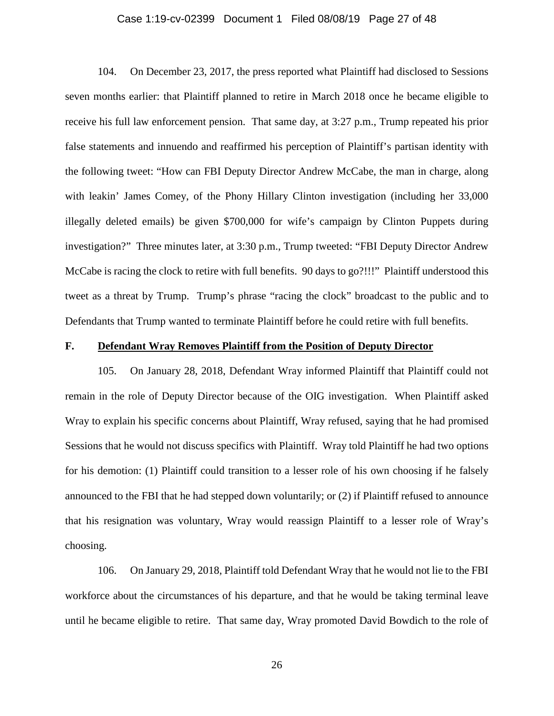## Case 1:19-cv-02399 Document 1 Filed 08/08/19 Page 27 of 48

104. On December 23, 2017, the press reported what Plaintiff had disclosed to Sessions seven months earlier: that Plaintiff planned to retire in March 2018 once he became eligible to receive his full law enforcement pension. That same day, at 3:27 p.m., Trump repeated his prior false statements and innuendo and reaffirmed his perception of Plaintiff's partisan identity with the following tweet: "How can FBI Deputy Director Andrew McCabe, the man in charge, along with leakin' James Comey, of the Phony Hillary Clinton investigation (including her 33,000 illegally deleted emails) be given \$700,000 for wife's campaign by Clinton Puppets during investigation?" Three minutes later, at 3:30 p.m., Trump tweeted: "FBI Deputy Director Andrew McCabe is racing the clock to retire with full benefits. 90 days to go?!!!" Plaintiff understood this tweet as a threat by Trump. Trump's phrase "racing the clock" broadcast to the public and to Defendants that Trump wanted to terminate Plaintiff before he could retire with full benefits.

## **F. Defendant Wray Removes Plaintiff from the Position of Deputy Director**

105. On January 28, 2018, Defendant Wray informed Plaintiff that Plaintiff could not remain in the role of Deputy Director because of the OIG investigation. When Plaintiff asked Wray to explain his specific concerns about Plaintiff, Wray refused, saying that he had promised Sessions that he would not discuss specifics with Plaintiff. Wray told Plaintiff he had two options for his demotion: (1) Plaintiff could transition to a lesser role of his own choosing if he falsely announced to the FBI that he had stepped down voluntarily; or (2) if Plaintiff refused to announce that his resignation was voluntary, Wray would reassign Plaintiff to a lesser role of Wray's choosing.

106. On January 29, 2018, Plaintiff told Defendant Wray that he would not lie to the FBI workforce about the circumstances of his departure, and that he would be taking terminal leave until he became eligible to retire. That same day, Wray promoted David Bowdich to the role of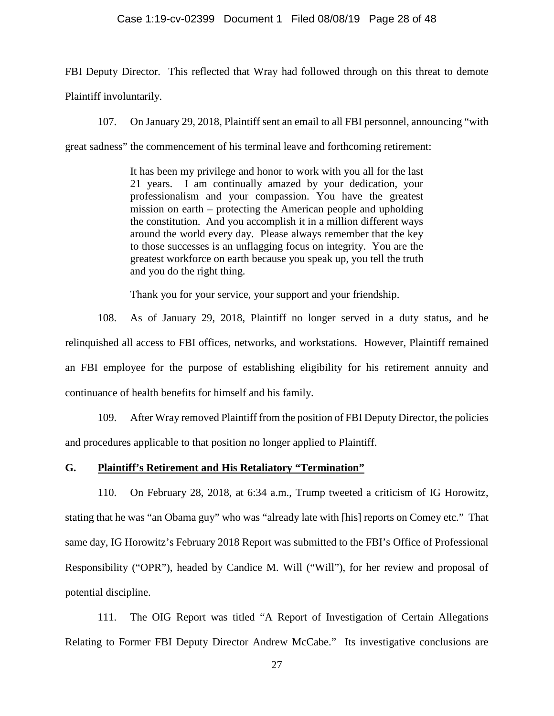#### Case 1:19-cv-02399 Document 1 Filed 08/08/19 Page 28 of 48

FBI Deputy Director. This reflected that Wray had followed through on this threat to demote Plaintiff involuntarily.

107. On January 29, 2018, Plaintiff sent an email to all FBI personnel, announcing "with

great sadness" the commencement of his terminal leave and forthcoming retirement:

It has been my privilege and honor to work with you all for the last 21 years. I am continually amazed by your dedication, your professionalism and your compassion. You have the greatest mission on earth – protecting the American people and upholding the constitution. And you accomplish it in a million different ways around the world every day. Please always remember that the key to those successes is an unflagging focus on integrity. You are the greatest workforce on earth because you speak up, you tell the truth and you do the right thing.

Thank you for your service, your support and your friendship.

108. As of January 29, 2018, Plaintiff no longer served in a duty status, and he relinquished all access to FBI offices, networks, and workstations. However, Plaintiff remained an FBI employee for the purpose of establishing eligibility for his retirement annuity and continuance of health benefits for himself and his family.

109. After Wray removed Plaintiff from the position of FBI Deputy Director, the policies and procedures applicable to that position no longer applied to Plaintiff.

## **G. Plaintiff's Retirement and His Retaliatory "Termination"**

110. On February 28, 2018, at 6:34 a.m., Trump tweeted a criticism of IG Horowitz, stating that he was "an Obama guy" who was "already late with [his] reports on Comey etc." That same day, IG Horowitz's February 2018 Report was submitted to the FBI's Office of Professional Responsibility ("OPR"), headed by Candice M. Will ("Will"), for her review and proposal of potential discipline.

111. The OIG Report was titled "A Report of Investigation of Certain Allegations Relating to Former FBI Deputy Director Andrew McCabe." Its investigative conclusions are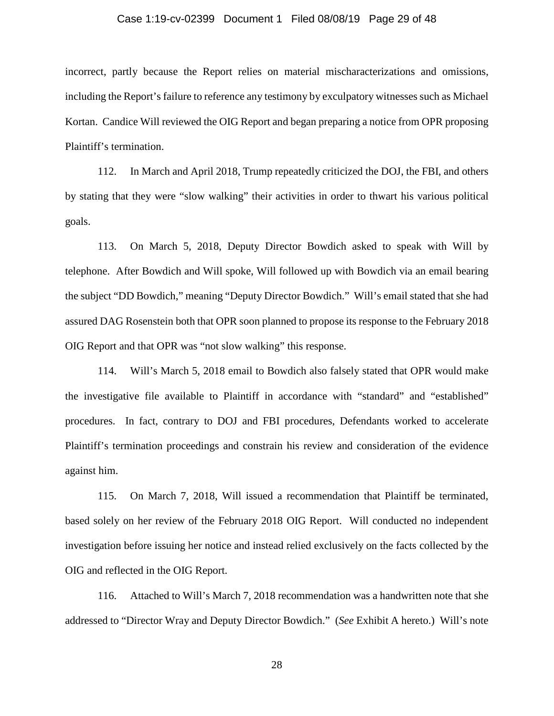## Case 1:19-cv-02399 Document 1 Filed 08/08/19 Page 29 of 48

incorrect, partly because the Report relies on material mischaracterizations and omissions, including the Report's failure to reference any testimony by exculpatory witnesses such as Michael Kortan. Candice Will reviewed the OIG Report and began preparing a notice from OPR proposing Plaintiff's termination.

112. In March and April 2018, Trump repeatedly criticized the DOJ, the FBI, and others by stating that they were "slow walking" their activities in order to thwart his various political goals.

113. On March 5, 2018, Deputy Director Bowdich asked to speak with Will by telephone. After Bowdich and Will spoke, Will followed up with Bowdich via an email bearing the subject "DD Bowdich," meaning "Deputy Director Bowdich." Will's email stated that she had assured DAG Rosenstein both that OPR soon planned to propose its response to the February 2018 OIG Report and that OPR was "not slow walking" this response.

114. Will's March 5, 2018 email to Bowdich also falsely stated that OPR would make the investigative file available to Plaintiff in accordance with "standard" and "established" procedures. In fact, contrary to DOJ and FBI procedures, Defendants worked to accelerate Plaintiff's termination proceedings and constrain his review and consideration of the evidence against him.

115. On March 7, 2018, Will issued a recommendation that Plaintiff be terminated, based solely on her review of the February 2018 OIG Report. Will conducted no independent investigation before issuing her notice and instead relied exclusively on the facts collected by the OIG and reflected in the OIG Report.

116. Attached to Will's March 7, 2018 recommendation was a handwritten note that she addressed to "Director Wray and Deputy Director Bowdich." (*See* Exhibit A hereto.) Will's note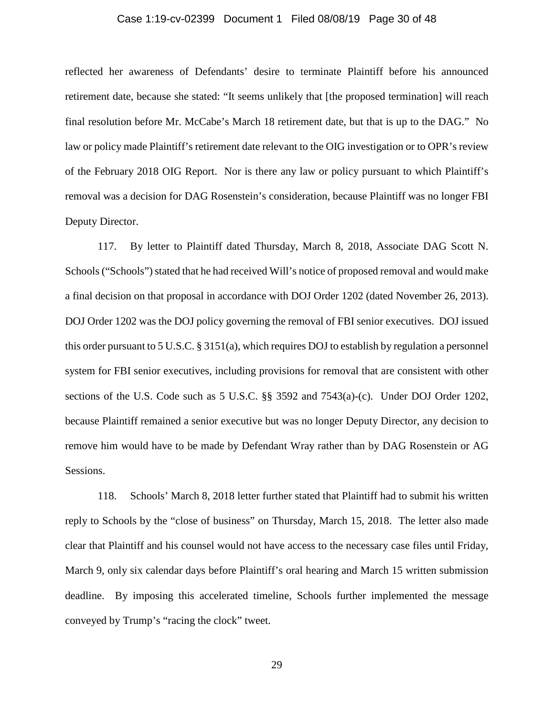## Case 1:19-cv-02399 Document 1 Filed 08/08/19 Page 30 of 48

reflected her awareness of Defendants' desire to terminate Plaintiff before his announced retirement date, because she stated: "It seems unlikely that [the proposed termination] will reach final resolution before Mr. McCabe's March 18 retirement date, but that is up to the DAG." No law or policy made Plaintiff's retirement date relevant to the OIG investigation or to OPR's review of the February 2018 OIG Report. Nor is there any law or policy pursuant to which Plaintiff's removal was a decision for DAG Rosenstein's consideration, because Plaintiff was no longer FBI Deputy Director.

117. By letter to Plaintiff dated Thursday, March 8, 2018, Associate DAG Scott N. Schools ("Schools") stated that he had received Will's notice of proposed removal and would make a final decision on that proposal in accordance with DOJ Order 1202 (dated November 26, 2013). DOJ Order 1202 was the DOJ policy governing the removal of FBI senior executives. DOJ issued this order pursuant to 5 U.S.C. § 3151(a), which requires DOJ to establish by regulation a personnel system for FBI senior executives, including provisions for removal that are consistent with other sections of the U.S. Code such as 5 U.S.C. §§ 3592 and 7543(a)-(c). Under DOJ Order 1202, because Plaintiff remained a senior executive but was no longer Deputy Director, any decision to remove him would have to be made by Defendant Wray rather than by DAG Rosenstein or AG Sessions.

118. Schools' March 8, 2018 letter further stated that Plaintiff had to submit his written reply to Schools by the "close of business" on Thursday, March 15, 2018. The letter also made clear that Plaintiff and his counsel would not have access to the necessary case files until Friday, March 9, only six calendar days before Plaintiff's oral hearing and March 15 written submission deadline. By imposing this accelerated timeline, Schools further implemented the message conveyed by Trump's "racing the clock" tweet.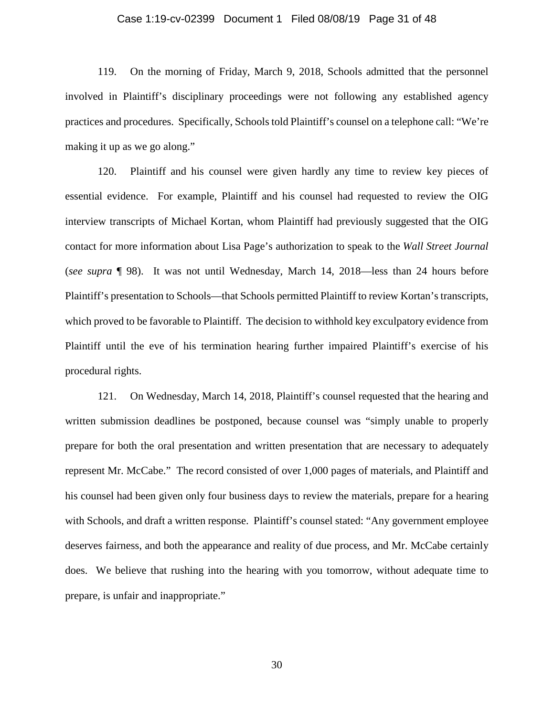## Case 1:19-cv-02399 Document 1 Filed 08/08/19 Page 31 of 48

119. On the morning of Friday, March 9, 2018, Schools admitted that the personnel involved in Plaintiff's disciplinary proceedings were not following any established agency practices and procedures. Specifically, Schools told Plaintiff's counsel on a telephone call: "We're making it up as we go along."

120. Plaintiff and his counsel were given hardly any time to review key pieces of essential evidence. For example, Plaintiff and his counsel had requested to review the OIG interview transcripts of Michael Kortan, whom Plaintiff had previously suggested that the OIG contact for more information about Lisa Page's authorization to speak to the *Wall Street Journal*  (*see supra* ¶ 98). It was not until Wednesday, March 14, 2018—less than 24 hours before Plaintiff's presentation to Schools—that Schools permitted Plaintiff to review Kortan's transcripts, which proved to be favorable to Plaintiff. The decision to withhold key exculpatory evidence from Plaintiff until the eve of his termination hearing further impaired Plaintiff's exercise of his procedural rights.

121. On Wednesday, March 14, 2018, Plaintiff's counsel requested that the hearing and written submission deadlines be postponed, because counsel was "simply unable to properly prepare for both the oral presentation and written presentation that are necessary to adequately represent Mr. McCabe." The record consisted of over 1,000 pages of materials, and Plaintiff and his counsel had been given only four business days to review the materials, prepare for a hearing with Schools, and draft a written response. Plaintiff's counsel stated: "Any government employee deserves fairness, and both the appearance and reality of due process, and Mr. McCabe certainly does. We believe that rushing into the hearing with you tomorrow, without adequate time to prepare, is unfair and inappropriate."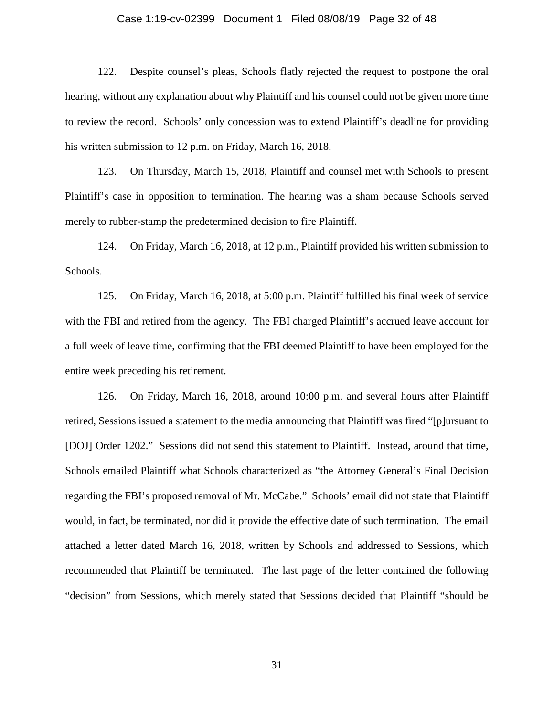## Case 1:19-cv-02399 Document 1 Filed 08/08/19 Page 32 of 48

122. Despite counsel's pleas, Schools flatly rejected the request to postpone the oral hearing, without any explanation about why Plaintiff and his counsel could not be given more time to review the record. Schools' only concession was to extend Plaintiff's deadline for providing his written submission to 12 p.m. on Friday, March 16, 2018.

123. On Thursday, March 15, 2018, Plaintiff and counsel met with Schools to present Plaintiff's case in opposition to termination. The hearing was a sham because Schools served merely to rubber-stamp the predetermined decision to fire Plaintiff.

124. On Friday, March 16, 2018, at 12 p.m., Plaintiff provided his written submission to Schools.

125. On Friday, March 16, 2018, at 5:00 p.m. Plaintiff fulfilled his final week of service with the FBI and retired from the agency. The FBI charged Plaintiff's accrued leave account for a full week of leave time, confirming that the FBI deemed Plaintiff to have been employed for the entire week preceding his retirement.

126. On Friday, March 16, 2018, around 10:00 p.m. and several hours after Plaintiff retired, Sessions issued a statement to the media announcing that Plaintiff was fired "[p]ursuant to [DOJ] Order 1202." Sessions did not send this statement to Plaintiff. Instead, around that time, Schools emailed Plaintiff what Schools characterized as "the Attorney General's Final Decision regarding the FBI's proposed removal of Mr. McCabe." Schools' email did not state that Plaintiff would, in fact, be terminated, nor did it provide the effective date of such termination. The email attached a letter dated March 16, 2018, written by Schools and addressed to Sessions, which recommended that Plaintiff be terminated. The last page of the letter contained the following "decision" from Sessions, which merely stated that Sessions decided that Plaintiff "should be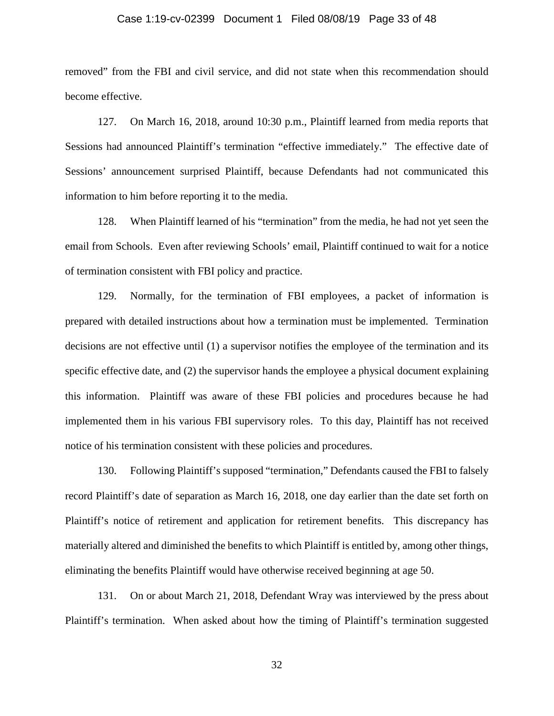## Case 1:19-cv-02399 Document 1 Filed 08/08/19 Page 33 of 48

removed" from the FBI and civil service, and did not state when this recommendation should become effective.

127. On March 16, 2018, around 10:30 p.m., Plaintiff learned from media reports that Sessions had announced Plaintiff's termination "effective immediately." The effective date of Sessions' announcement surprised Plaintiff, because Defendants had not communicated this information to him before reporting it to the media.

128. When Plaintiff learned of his "termination" from the media, he had not yet seen the email from Schools. Even after reviewing Schools' email, Plaintiff continued to wait for a notice of termination consistent with FBI policy and practice.

129. Normally, for the termination of FBI employees, a packet of information is prepared with detailed instructions about how a termination must be implemented. Termination decisions are not effective until (1) a supervisor notifies the employee of the termination and its specific effective date, and (2) the supervisor hands the employee a physical document explaining this information. Plaintiff was aware of these FBI policies and procedures because he had implemented them in his various FBI supervisory roles. To this day, Plaintiff has not received notice of his termination consistent with these policies and procedures.

130. Following Plaintiff's supposed "termination," Defendants caused the FBI to falsely record Plaintiff's date of separation as March 16, 2018, one day earlier than the date set forth on Plaintiff's notice of retirement and application for retirement benefits. This discrepancy has materially altered and diminished the benefits to which Plaintiff is entitled by, among other things, eliminating the benefits Plaintiff would have otherwise received beginning at age 50.

131. On or about March 21, 2018, Defendant Wray was interviewed by the press about Plaintiff's termination. When asked about how the timing of Plaintiff's termination suggested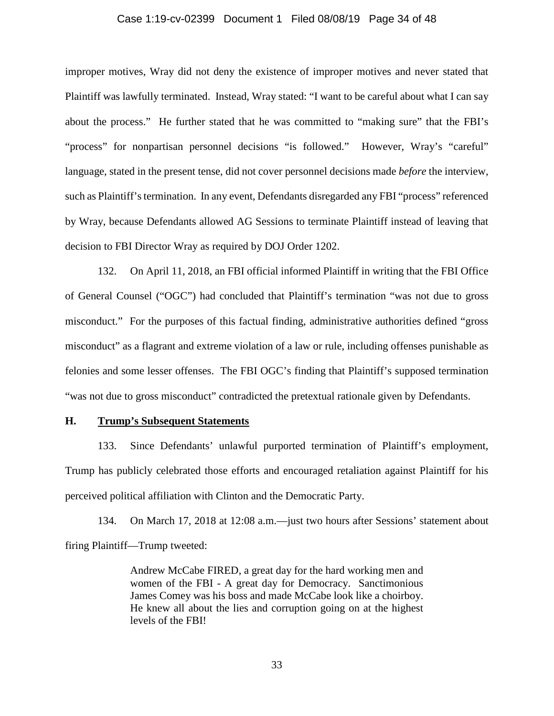## Case 1:19-cv-02399 Document 1 Filed 08/08/19 Page 34 of 48

improper motives, Wray did not deny the existence of improper motives and never stated that Plaintiff was lawfully terminated. Instead, Wray stated: "I want to be careful about what I can say about the process." He further stated that he was committed to "making sure" that the FBI's "process" for nonpartisan personnel decisions "is followed." However, Wray's "careful" language, stated in the present tense, did not cover personnel decisions made *before* the interview, such as Plaintiff's termination. In any event, Defendants disregarded any FBI "process" referenced by Wray, because Defendants allowed AG Sessions to terminate Plaintiff instead of leaving that decision to FBI Director Wray as required by DOJ Order 1202.

132. On April 11, 2018, an FBI official informed Plaintiff in writing that the FBI Office of General Counsel ("OGC") had concluded that Plaintiff's termination "was not due to gross misconduct." For the purposes of this factual finding, administrative authorities defined "gross misconduct" as a flagrant and extreme violation of a law or rule, including offenses punishable as felonies and some lesser offenses. The FBI OGC's finding that Plaintiff's supposed termination "was not due to gross misconduct" contradicted the pretextual rationale given by Defendants.

## **H. Trump's Subsequent Statements**

133. Since Defendants' unlawful purported termination of Plaintiff's employment, Trump has publicly celebrated those efforts and encouraged retaliation against Plaintiff for his perceived political affiliation with Clinton and the Democratic Party.

134. On March 17, 2018 at 12:08 a.m.—just two hours after Sessions' statement about firing Plaintiff—Trump tweeted:

> Andrew McCabe FIRED, a great day for the hard working men and women of the FBI - A great day for Democracy. Sanctimonious James Comey was his boss and made McCabe look like a choirboy. He knew all about the lies and corruption going on at the highest levels of the FBI!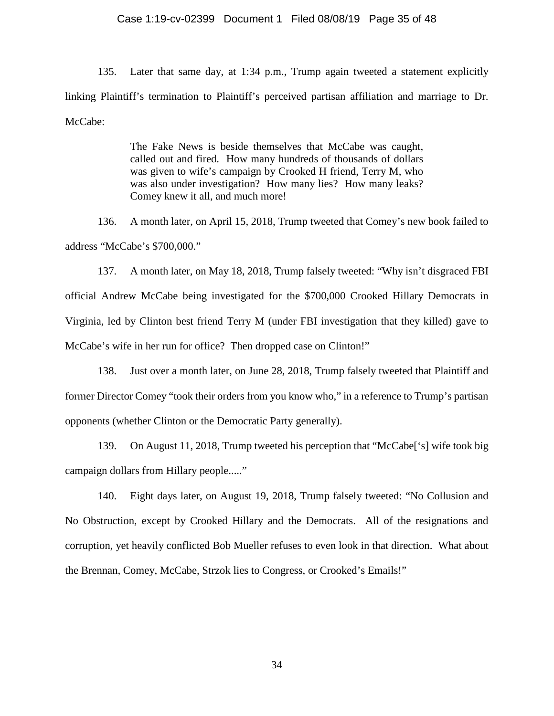## Case 1:19-cv-02399 Document 1 Filed 08/08/19 Page 35 of 48

135. Later that same day, at 1:34 p.m., Trump again tweeted a statement explicitly linking Plaintiff's termination to Plaintiff's perceived partisan affiliation and marriage to Dr. McCabe:

> The Fake News is beside themselves that McCabe was caught, called out and fired. How many hundreds of thousands of dollars was given to wife's campaign by Crooked H friend, Terry M, who was also under investigation? How many lies? How many leaks? Comey knew it all, and much more!

136. A month later, on April 15, 2018, Trump tweeted that Comey's new book failed to address "McCabe's \$700,000."

137. A month later, on May 18, 2018, Trump falsely tweeted: "Why isn't disgraced FBI official Andrew McCabe being investigated for the \$700,000 Crooked Hillary Democrats in Virginia, led by Clinton best friend Terry M (under FBI investigation that they killed) gave to McCabe's wife in her run for office? Then dropped case on Clinton!"

138. Just over a month later, on June 28, 2018, Trump falsely tweeted that Plaintiff and former Director Comey "took their orders from you know who," in a reference to Trump's partisan opponents (whether Clinton or the Democratic Party generally).

139. On August 11, 2018, Trump tweeted his perception that "McCabe['s] wife took big campaign dollars from Hillary people....."

140. Eight days later, on August 19, 2018, Trump falsely tweeted: "No Collusion and No Obstruction, except by Crooked Hillary and the Democrats. All of the resignations and corruption, yet heavily conflicted Bob Mueller refuses to even look in that direction. What about the Brennan, Comey, McCabe, Strzok lies to Congress, or Crooked's Emails!"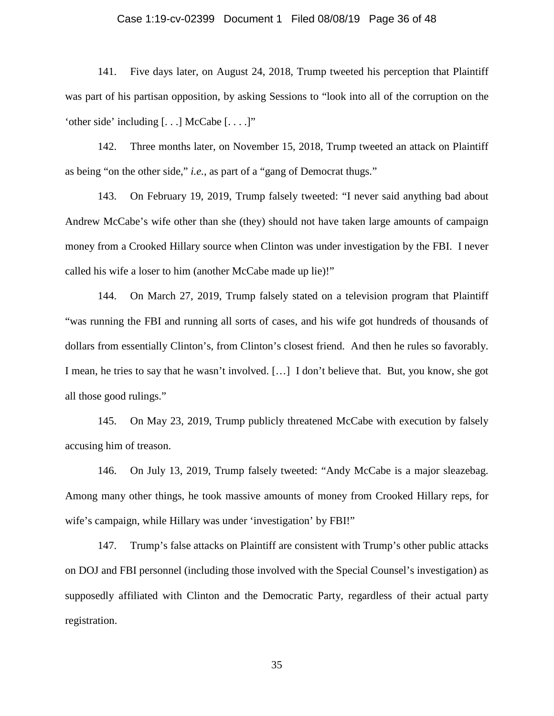## Case 1:19-cv-02399 Document 1 Filed 08/08/19 Page 36 of 48

141. Five days later, on August 24, 2018, Trump tweeted his perception that Plaintiff was part of his partisan opposition, by asking Sessions to "look into all of the corruption on the 'other side' including  $[...]$  McCabe  $[...]$ "

142. Three months later, on November 15, 2018, Trump tweeted an attack on Plaintiff as being "on the other side," *i.e.*, as part of a "gang of Democrat thugs."

143. On February 19, 2019, Trump falsely tweeted: "I never said anything bad about Andrew McCabe's wife other than she (they) should not have taken large amounts of campaign money from a Crooked Hillary source when Clinton was under investigation by the FBI. I never called his wife a loser to him (another McCabe made up lie)!"

144. On March 27, 2019, Trump falsely stated on a television program that Plaintiff "was running the FBI and running all sorts of cases, and his wife got hundreds of thousands of dollars from essentially Clinton's, from Clinton's closest friend. And then he rules so favorably. I mean, he tries to say that he wasn't involved. […] I don't believe that. But, you know, she got all those good rulings."

145. On May 23, 2019, Trump publicly threatened McCabe with execution by falsely accusing him of treason.

146. On July 13, 2019, Trump falsely tweeted: "Andy McCabe is a major sleazebag. Among many other things, he took massive amounts of money from Crooked Hillary reps, for wife's campaign, while Hillary was under 'investigation' by FBI!"

147. Trump's false attacks on Plaintiff are consistent with Trump's other public attacks on DOJ and FBI personnel (including those involved with the Special Counsel's investigation) as supposedly affiliated with Clinton and the Democratic Party, regardless of their actual party registration.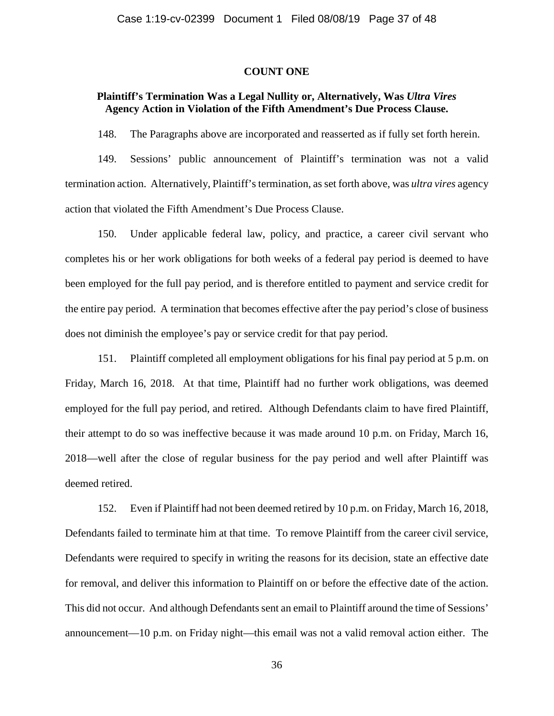## **COUNT ONE**

## **Plaintiff's Termination Was a Legal Nullity or, Alternatively, Was** *Ultra Vires*  **Agency Action in Violation of the Fifth Amendment's Due Process Clause.**

148. The Paragraphs above are incorporated and reasserted as if fully set forth herein.

149. Sessions' public announcement of Plaintiff's termination was not a valid termination action. Alternatively, Plaintiff's termination, as set forth above, was *ultra vires* agency action that violated the Fifth Amendment's Due Process Clause.

150. Under applicable federal law, policy, and practice, a career civil servant who completes his or her work obligations for both weeks of a federal pay period is deemed to have been employed for the full pay period, and is therefore entitled to payment and service credit for the entire pay period. A termination that becomes effective after the pay period's close of business does not diminish the employee's pay or service credit for that pay period.

151. Plaintiff completed all employment obligations for his final pay period at 5 p.m. on Friday, March 16, 2018. At that time, Plaintiff had no further work obligations, was deemed employed for the full pay period, and retired. Although Defendants claim to have fired Plaintiff, their attempt to do so was ineffective because it was made around 10 p.m. on Friday, March 16, 2018—well after the close of regular business for the pay period and well after Plaintiff was deemed retired.

152. Even if Plaintiff had not been deemed retired by 10 p.m. on Friday, March 16, 2018, Defendants failed to terminate him at that time. To remove Plaintiff from the career civil service, Defendants were required to specify in writing the reasons for its decision, state an effective date for removal, and deliver this information to Plaintiff on or before the effective date of the action. This did not occur. And although Defendants sent an email to Plaintiff around the time of Sessions' announcement—10 p.m. on Friday night—this email was not a valid removal action either. The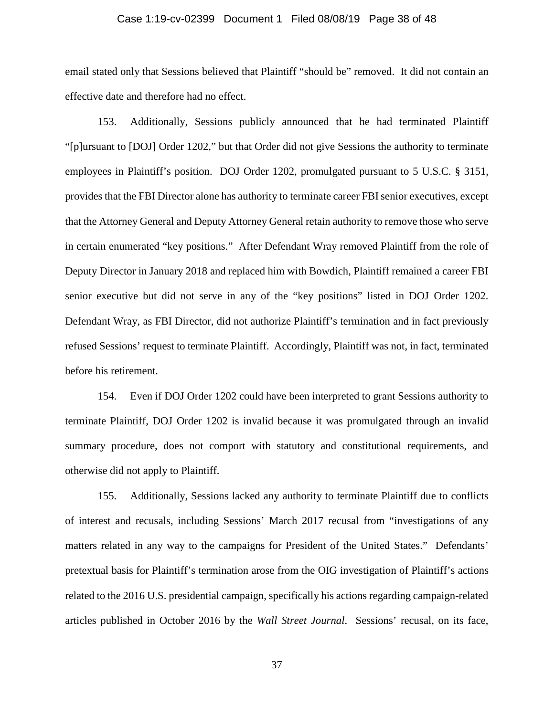## Case 1:19-cv-02399 Document 1 Filed 08/08/19 Page 38 of 48

email stated only that Sessions believed that Plaintiff "should be" removed. It did not contain an effective date and therefore had no effect.

153. Additionally, Sessions publicly announced that he had terminated Plaintiff "[p]ursuant to [DOJ] Order 1202," but that Order did not give Sessions the authority to terminate employees in Plaintiff's position. DOJ Order 1202, promulgated pursuant to 5 U.S.C. § 3151, provides that the FBI Director alone has authority to terminate career FBI senior executives, except that the Attorney General and Deputy Attorney General retain authority to remove those who serve in certain enumerated "key positions." After Defendant Wray removed Plaintiff from the role of Deputy Director in January 2018 and replaced him with Bowdich, Plaintiff remained a career FBI senior executive but did not serve in any of the "key positions" listed in DOJ Order 1202. Defendant Wray, as FBI Director, did not authorize Plaintiff's termination and in fact previously refused Sessions' request to terminate Plaintiff. Accordingly, Plaintiff was not, in fact, terminated before his retirement.

154. Even if DOJ Order 1202 could have been interpreted to grant Sessions authority to terminate Plaintiff, DOJ Order 1202 is invalid because it was promulgated through an invalid summary procedure, does not comport with statutory and constitutional requirements, and otherwise did not apply to Plaintiff.

155. Additionally, Sessions lacked any authority to terminate Plaintiff due to conflicts of interest and recusals, including Sessions' March 2017 recusal from "investigations of any matters related in any way to the campaigns for President of the United States." Defendants' pretextual basis for Plaintiff's termination arose from the OIG investigation of Plaintiff's actions related to the 2016 U.S. presidential campaign, specifically his actions regarding campaign-related articles published in October 2016 by the *Wall Street Journal*. Sessions' recusal, on its face,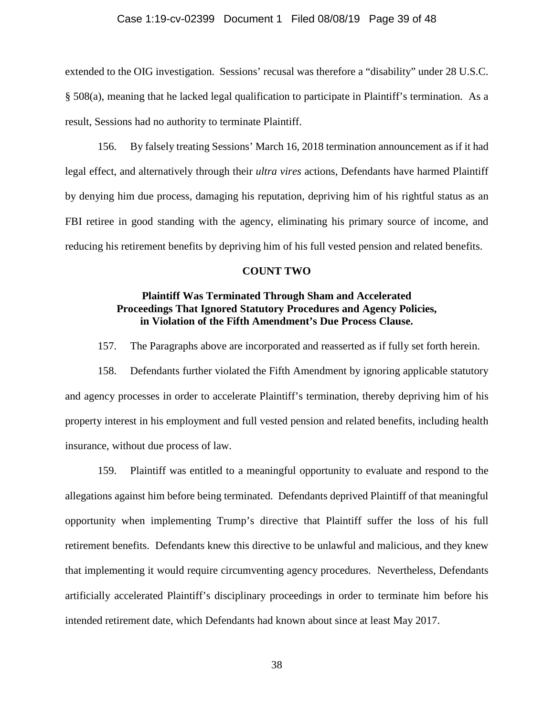## Case 1:19-cv-02399 Document 1 Filed 08/08/19 Page 39 of 48

extended to the OIG investigation. Sessions' recusal was therefore a "disability" under 28 U.S.C. § 508(a), meaning that he lacked legal qualification to participate in Plaintiff's termination. As a result, Sessions had no authority to terminate Plaintiff.

156. By falsely treating Sessions' March 16, 2018 termination announcement as if it had legal effect, and alternatively through their *ultra vires* actions, Defendants have harmed Plaintiff by denying him due process, damaging his reputation, depriving him of his rightful status as an FBI retiree in good standing with the agency, eliminating his primary source of income, and reducing his retirement benefits by depriving him of his full vested pension and related benefits.

### **COUNT TWO**

## **Plaintiff Was Terminated Through Sham and Accelerated Proceedings That Ignored Statutory Procedures and Agency Policies, in Violation of the Fifth Amendment's Due Process Clause.**

157. The Paragraphs above are incorporated and reasserted as if fully set forth herein.

158. Defendants further violated the Fifth Amendment by ignoring applicable statutory and agency processes in order to accelerate Plaintiff's termination, thereby depriving him of his property interest in his employment and full vested pension and related benefits, including health insurance, without due process of law.

159. Plaintiff was entitled to a meaningful opportunity to evaluate and respond to the allegations against him before being terminated. Defendants deprived Plaintiff of that meaningful opportunity when implementing Trump's directive that Plaintiff suffer the loss of his full retirement benefits. Defendants knew this directive to be unlawful and malicious, and they knew that implementing it would require circumventing agency procedures. Nevertheless, Defendants artificially accelerated Plaintiff's disciplinary proceedings in order to terminate him before his intended retirement date, which Defendants had known about since at least May 2017.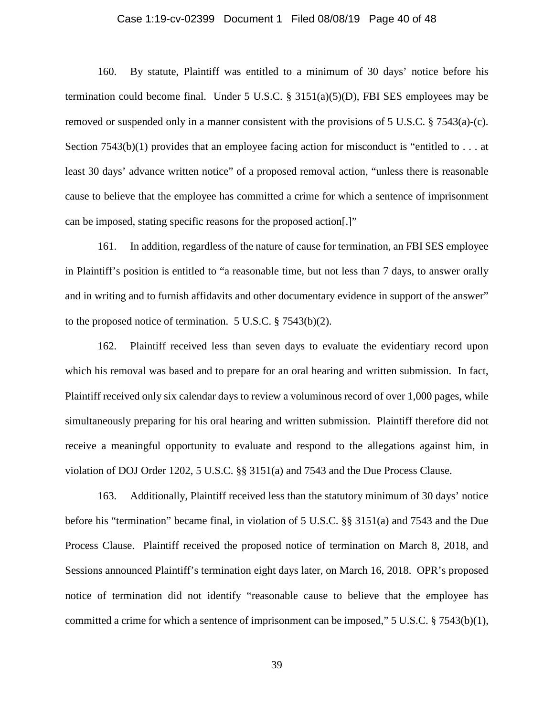## Case 1:19-cv-02399 Document 1 Filed 08/08/19 Page 40 of 48

160. By statute, Plaintiff was entitled to a minimum of 30 days' notice before his termination could become final. Under 5 U.S.C.  $\S$  3151(a)(5)(D), FBI SES employees may be removed or suspended only in a manner consistent with the provisions of 5 U.S.C. § 7543(a)-(c). Section 7543(b)(1) provides that an employee facing action for misconduct is "entitled to  $\dots$  at least 30 days' advance written notice" of a proposed removal action, "unless there is reasonable cause to believe that the employee has committed a crime for which a sentence of imprisonment can be imposed, stating specific reasons for the proposed action[.]"

161. In addition, regardless of the nature of cause for termination, an FBI SES employee in Plaintiff's position is entitled to "a reasonable time, but not less than 7 days, to answer orally and in writing and to furnish affidavits and other documentary evidence in support of the answer" to the proposed notice of termination. 5 U.S.C. § 7543(b)(2).

162. Plaintiff received less than seven days to evaluate the evidentiary record upon which his removal was based and to prepare for an oral hearing and written submission. In fact, Plaintiff received only six calendar days to review a voluminous record of over 1,000 pages, while simultaneously preparing for his oral hearing and written submission. Plaintiff therefore did not receive a meaningful opportunity to evaluate and respond to the allegations against him, in violation of DOJ Order 1202, 5 U.S.C. §§ 3151(a) and 7543 and the Due Process Clause.

163. Additionally, Plaintiff received less than the statutory minimum of 30 days' notice before his "termination" became final, in violation of 5 U.S.C. §§ 3151(a) and 7543 and the Due Process Clause. Plaintiff received the proposed notice of termination on March 8, 2018, and Sessions announced Plaintiff's termination eight days later, on March 16, 2018. OPR's proposed notice of termination did not identify "reasonable cause to believe that the employee has committed a crime for which a sentence of imprisonment can be imposed,"  $5 \text{ U.S.C.} \text{ § } 7543(\text{b})(1)$ ,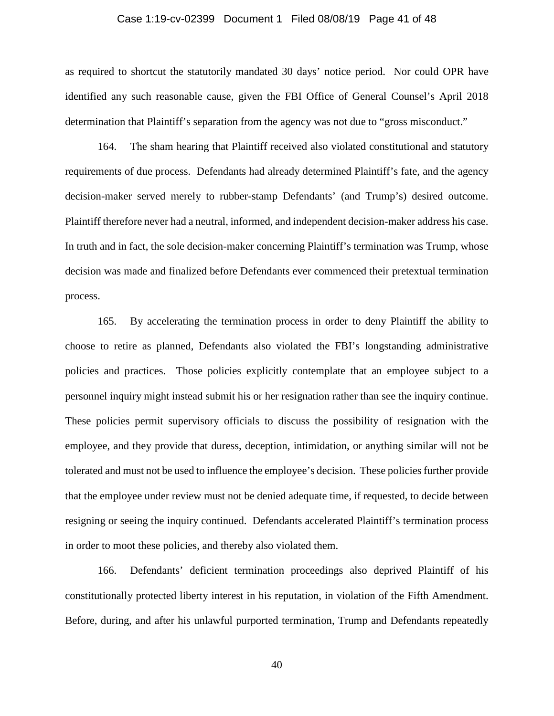## Case 1:19-cv-02399 Document 1 Filed 08/08/19 Page 41 of 48

as required to shortcut the statutorily mandated 30 days' notice period. Nor could OPR have identified any such reasonable cause, given the FBI Office of General Counsel's April 2018 determination that Plaintiff's separation from the agency was not due to "gross misconduct."

164. The sham hearing that Plaintiff received also violated constitutional and statutory requirements of due process. Defendants had already determined Plaintiff's fate, and the agency decision-maker served merely to rubber-stamp Defendants' (and Trump's) desired outcome. Plaintiff therefore never had a neutral, informed, and independent decision-maker address his case. In truth and in fact, the sole decision-maker concerning Plaintiff's termination was Trump, whose decision was made and finalized before Defendants ever commenced their pretextual termination process.

165. By accelerating the termination process in order to deny Plaintiff the ability to choose to retire as planned, Defendants also violated the FBI's longstanding administrative policies and practices. Those policies explicitly contemplate that an employee subject to a personnel inquiry might instead submit his or her resignation rather than see the inquiry continue. These policies permit supervisory officials to discuss the possibility of resignation with the employee, and they provide that duress, deception, intimidation, or anything similar will not be tolerated and must not be used to influence the employee's decision. These policies further provide that the employee under review must not be denied adequate time, if requested, to decide between resigning or seeing the inquiry continued. Defendants accelerated Plaintiff's termination process in order to moot these policies, and thereby also violated them.

166. Defendants' deficient termination proceedings also deprived Plaintiff of his constitutionally protected liberty interest in his reputation, in violation of the Fifth Amendment. Before, during, and after his unlawful purported termination, Trump and Defendants repeatedly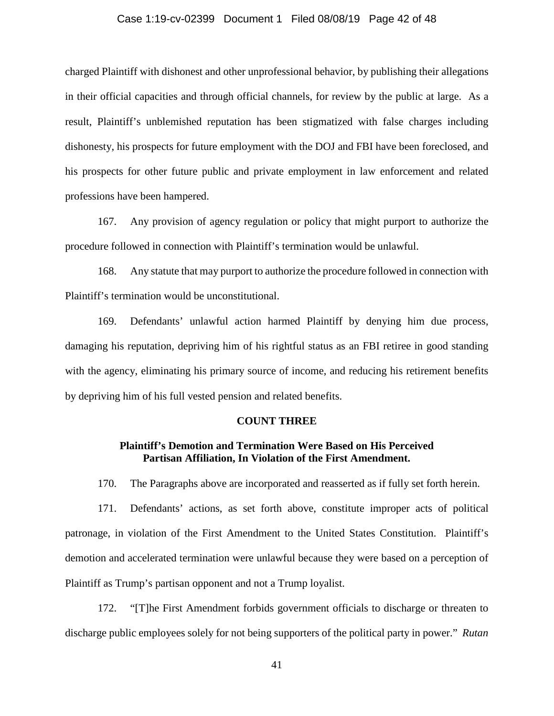## Case 1:19-cv-02399 Document 1 Filed 08/08/19 Page 42 of 48

charged Plaintiff with dishonest and other unprofessional behavior, by publishing their allegations in their official capacities and through official channels, for review by the public at large. As a result, Plaintiff's unblemished reputation has been stigmatized with false charges including dishonesty, his prospects for future employment with the DOJ and FBI have been foreclosed, and his prospects for other future public and private employment in law enforcement and related professions have been hampered.

167. Any provision of agency regulation or policy that might purport to authorize the procedure followed in connection with Plaintiff's termination would be unlawful.

168. Any statute that may purport to authorize the procedure followed in connection with Plaintiff's termination would be unconstitutional.

169. Defendants' unlawful action harmed Plaintiff by denying him due process, damaging his reputation, depriving him of his rightful status as an FBI retiree in good standing with the agency, eliminating his primary source of income, and reducing his retirement benefits by depriving him of his full vested pension and related benefits.

#### **COUNT THREE**

## **Plaintiff's Demotion and Termination Were Based on His Perceived Partisan Affiliation, In Violation of the First Amendment.**

170. The Paragraphs above are incorporated and reasserted as if fully set forth herein.

171. Defendants' actions, as set forth above, constitute improper acts of political patronage, in violation of the First Amendment to the United States Constitution. Plaintiff's demotion and accelerated termination were unlawful because they were based on a perception of Plaintiff as Trump's partisan opponent and not a Trump loyalist.

172. "[T]he First Amendment forbids government officials to discharge or threaten to discharge public employees solely for not being supporters of the political party in power." *Rutan*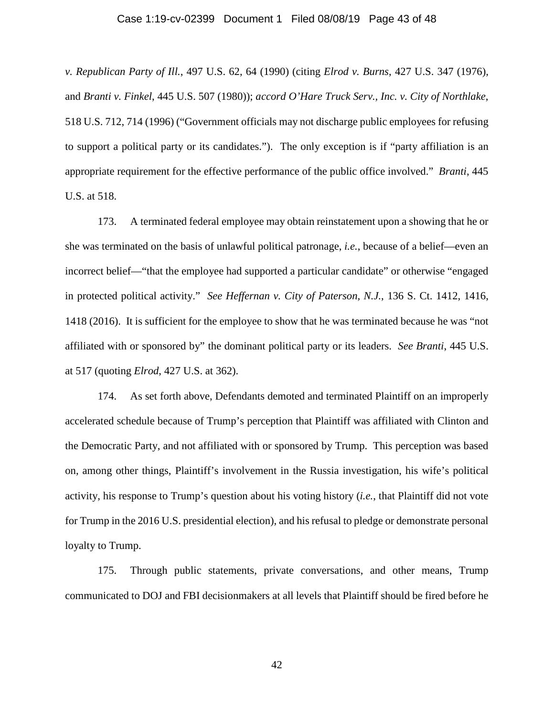#### Case 1:19-cv-02399 Document 1 Filed 08/08/19 Page 43 of 48

*v. Republican Party of Ill.*, 497 U.S. 62, 64 (1990) (citing *Elrod v. Burns*, 427 U.S. 347 (1976), and *Branti v. Finkel*, 445 U.S. 507 (1980)); *accord O'Hare Truck Serv., Inc. v. City of Northlake*, 518 U.S. 712, 714 (1996) ("Government officials may not discharge public employees for refusing to support a political party or its candidates."). The only exception is if "party affiliation is an appropriate requirement for the effective performance of the public office involved." *Branti*, 445 U.S. at 518.

173. A terminated federal employee may obtain reinstatement upon a showing that he or she was terminated on the basis of unlawful political patronage, *i.e.*, because of a belief—even an incorrect belief—"that the employee had supported a particular candidate" or otherwise "engaged in protected political activity." *See Heffernan v. City of Paterson, N.J.*, 136 S. Ct. 1412, 1416, 1418 (2016). It is sufficient for the employee to show that he was terminated because he was "not affiliated with or sponsored by" the dominant political party or its leaders. *See Branti*, 445 U.S. at 517 (quoting *Elrod*, 427 U.S. at 362).

174. As set forth above, Defendants demoted and terminated Plaintiff on an improperly accelerated schedule because of Trump's perception that Plaintiff was affiliated with Clinton and the Democratic Party, and not affiliated with or sponsored by Trump. This perception was based on, among other things, Plaintiff's involvement in the Russia investigation, his wife's political activity, his response to Trump's question about his voting history (*i.e.*, that Plaintiff did not vote for Trump in the 2016 U.S. presidential election), and his refusal to pledge or demonstrate personal loyalty to Trump.

175. Through public statements, private conversations, and other means, Trump communicated to DOJ and FBI decisionmakers at all levels that Plaintiff should be fired before he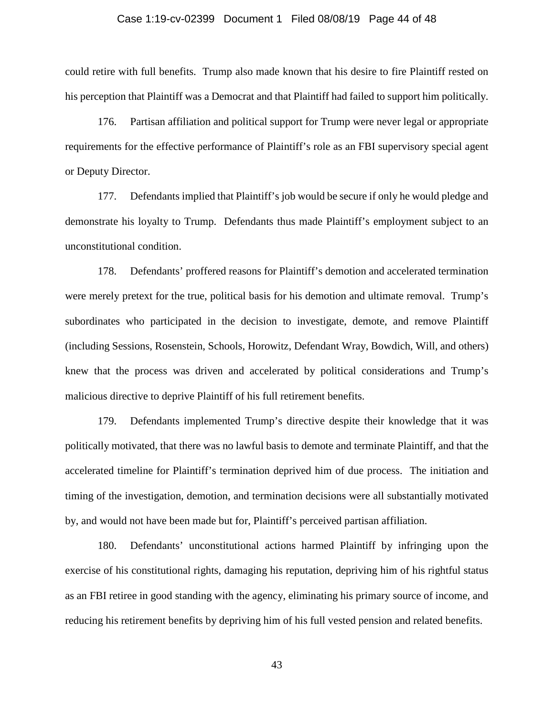## Case 1:19-cv-02399 Document 1 Filed 08/08/19 Page 44 of 48

could retire with full benefits. Trump also made known that his desire to fire Plaintiff rested on his perception that Plaintiff was a Democrat and that Plaintiff had failed to support him politically.

176. Partisan affiliation and political support for Trump were never legal or appropriate requirements for the effective performance of Plaintiff's role as an FBI supervisory special agent or Deputy Director.

177. Defendants implied that Plaintiff's job would be secure if only he would pledge and demonstrate his loyalty to Trump. Defendants thus made Plaintiff's employment subject to an unconstitutional condition.

178. Defendants' proffered reasons for Plaintiff's demotion and accelerated termination were merely pretext for the true, political basis for his demotion and ultimate removal. Trump's subordinates who participated in the decision to investigate, demote, and remove Plaintiff (including Sessions, Rosenstein, Schools, Horowitz, Defendant Wray, Bowdich, Will, and others) knew that the process was driven and accelerated by political considerations and Trump's malicious directive to deprive Plaintiff of his full retirement benefits.

179. Defendants implemented Trump's directive despite their knowledge that it was politically motivated, that there was no lawful basis to demote and terminate Plaintiff, and that the accelerated timeline for Plaintiff's termination deprived him of due process. The initiation and timing of the investigation, demotion, and termination decisions were all substantially motivated by, and would not have been made but for, Plaintiff's perceived partisan affiliation.

180. Defendants' unconstitutional actions harmed Plaintiff by infringing upon the exercise of his constitutional rights, damaging his reputation, depriving him of his rightful status as an FBI retiree in good standing with the agency, eliminating his primary source of income, and reducing his retirement benefits by depriving him of his full vested pension and related benefits.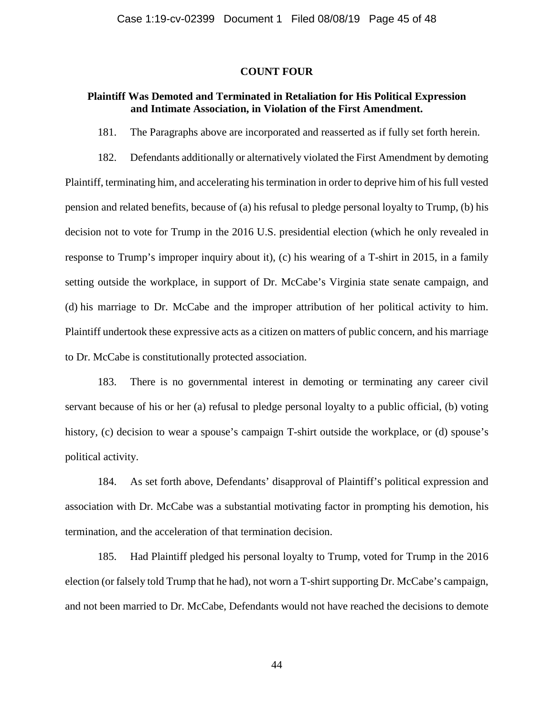## **COUNT FOUR**

## **Plaintiff Was Demoted and Terminated in Retaliation for His Political Expression and Intimate Association, in Violation of the First Amendment.**

181. The Paragraphs above are incorporated and reasserted as if fully set forth herein.

182. Defendants additionally or alternatively violated the First Amendment by demoting Plaintiff, terminating him, and accelerating his termination in order to deprive him of his full vested pension and related benefits, because of (a) his refusal to pledge personal loyalty to Trump, (b) his decision not to vote for Trump in the 2016 U.S. presidential election (which he only revealed in response to Trump's improper inquiry about it), (c) his wearing of a T-shirt in 2015, in a family setting outside the workplace, in support of Dr. McCabe's Virginia state senate campaign, and (d) his marriage to Dr. McCabe and the improper attribution of her political activity to him. Plaintiff undertook these expressive acts as a citizen on matters of public concern, and his marriage to Dr. McCabe is constitutionally protected association.

183. There is no governmental interest in demoting or terminating any career civil servant because of his or her (a) refusal to pledge personal loyalty to a public official, (b) voting history, (c) decision to wear a spouse's campaign T-shirt outside the workplace, or (d) spouse's political activity.

184. As set forth above, Defendants' disapproval of Plaintiff's political expression and association with Dr. McCabe was a substantial motivating factor in prompting his demotion, his termination, and the acceleration of that termination decision.

185. Had Plaintiff pledged his personal loyalty to Trump, voted for Trump in the 2016 election (or falsely told Trump that he had), not worn a T-shirt supporting Dr. McCabe's campaign, and not been married to Dr. McCabe, Defendants would not have reached the decisions to demote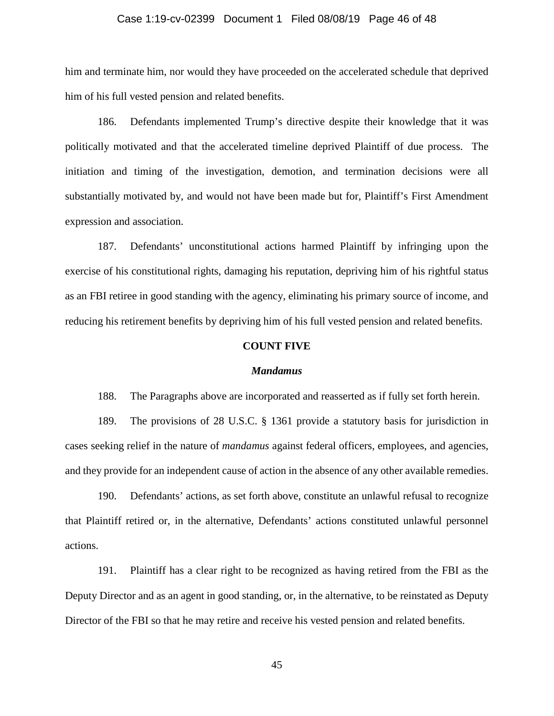## Case 1:19-cv-02399 Document 1 Filed 08/08/19 Page 46 of 48

him and terminate him, nor would they have proceeded on the accelerated schedule that deprived him of his full vested pension and related benefits.

186. Defendants implemented Trump's directive despite their knowledge that it was politically motivated and that the accelerated timeline deprived Plaintiff of due process. The initiation and timing of the investigation, demotion, and termination decisions were all substantially motivated by, and would not have been made but for, Plaintiff's First Amendment expression and association.

187. Defendants' unconstitutional actions harmed Plaintiff by infringing upon the exercise of his constitutional rights, damaging his reputation, depriving him of his rightful status as an FBI retiree in good standing with the agency, eliminating his primary source of income, and reducing his retirement benefits by depriving him of his full vested pension and related benefits.

## **COUNT FIVE**

#### *Mandamus*

188. The Paragraphs above are incorporated and reasserted as if fully set forth herein.

189. The provisions of 28 U.S.C. § 1361 provide a statutory basis for jurisdiction in cases seeking relief in the nature of *mandamus* against federal officers, employees, and agencies, and they provide for an independent cause of action in the absence of any other available remedies.

190. Defendants' actions, as set forth above, constitute an unlawful refusal to recognize that Plaintiff retired or, in the alternative, Defendants' actions constituted unlawful personnel actions.

191. Plaintiff has a clear right to be recognized as having retired from the FBI as the Deputy Director and as an agent in good standing, or, in the alternative, to be reinstated as Deputy Director of the FBI so that he may retire and receive his vested pension and related benefits.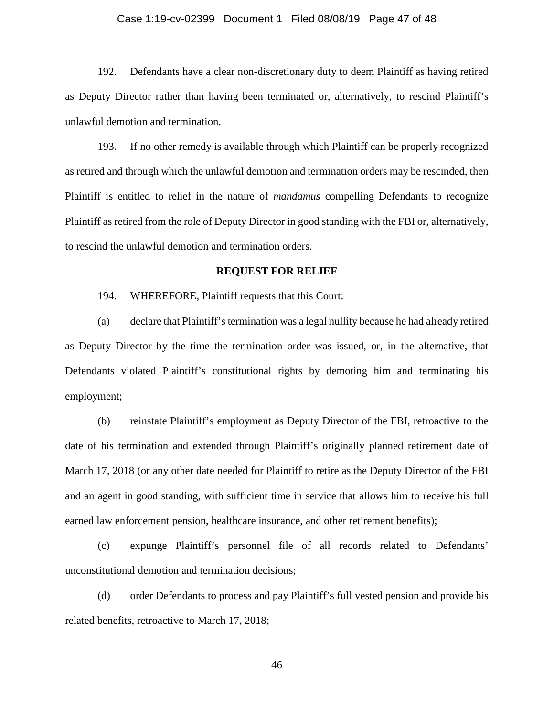## Case 1:19-cv-02399 Document 1 Filed 08/08/19 Page 47 of 48

192. Defendants have a clear non-discretionary duty to deem Plaintiff as having retired as Deputy Director rather than having been terminated or, alternatively, to rescind Plaintiff's unlawful demotion and termination.

193. If no other remedy is available through which Plaintiff can be properly recognized as retired and through which the unlawful demotion and termination orders may be rescinded, then Plaintiff is entitled to relief in the nature of *mandamus* compelling Defendants to recognize Plaintiff as retired from the role of Deputy Director in good standing with the FBI or, alternatively, to rescind the unlawful demotion and termination orders.

## **REQUEST FOR RELIEF**

194. WHEREFORE, Plaintiff requests that this Court:

(a) declare that Plaintiff's termination was a legal nullity because he had already retired as Deputy Director by the time the termination order was issued, or, in the alternative, that Defendants violated Plaintiff's constitutional rights by demoting him and terminating his employment;

(b) reinstate Plaintiff's employment as Deputy Director of the FBI, retroactive to the date of his termination and extended through Plaintiff's originally planned retirement date of March 17, 2018 (or any other date needed for Plaintiff to retire as the Deputy Director of the FBI and an agent in good standing, with sufficient time in service that allows him to receive his full earned law enforcement pension, healthcare insurance, and other retirement benefits);

(c) expunge Plaintiff's personnel file of all records related to Defendants' unconstitutional demotion and termination decisions;

(d) order Defendants to process and pay Plaintiff's full vested pension and provide his related benefits, retroactive to March 17, 2018;